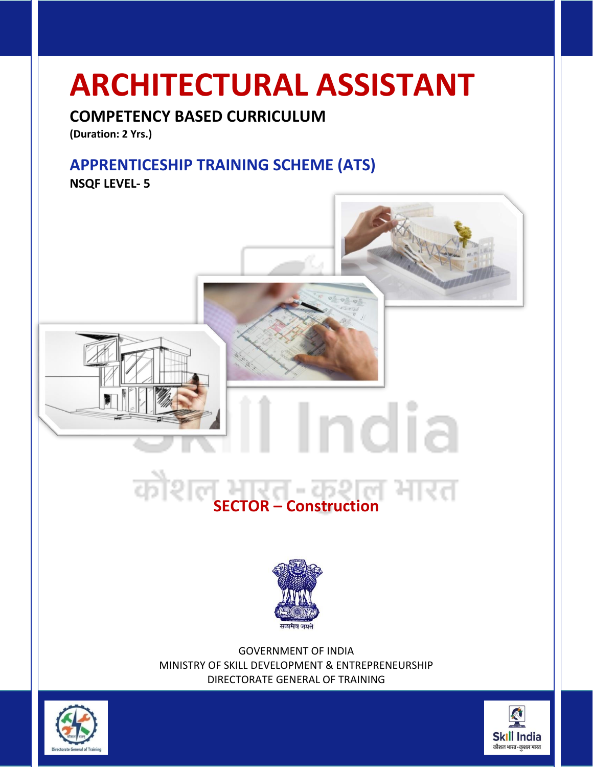# **ARCHITECTURAL ASSISTANT**

# **COMPETENCY BASED CURRICULUM**

**(Duration: 2 Yrs.)**

# **APPRENTICESHIP TRAINING SCHEME (ATS)**

**NSQF LEVEL- 5**



India



GOVERNMENT OF INDIA MINISTRY OF SKILL DEVELOPMENT & ENTREPRENEURSHIP DIRECTORATE GENERAL OF TRAINING



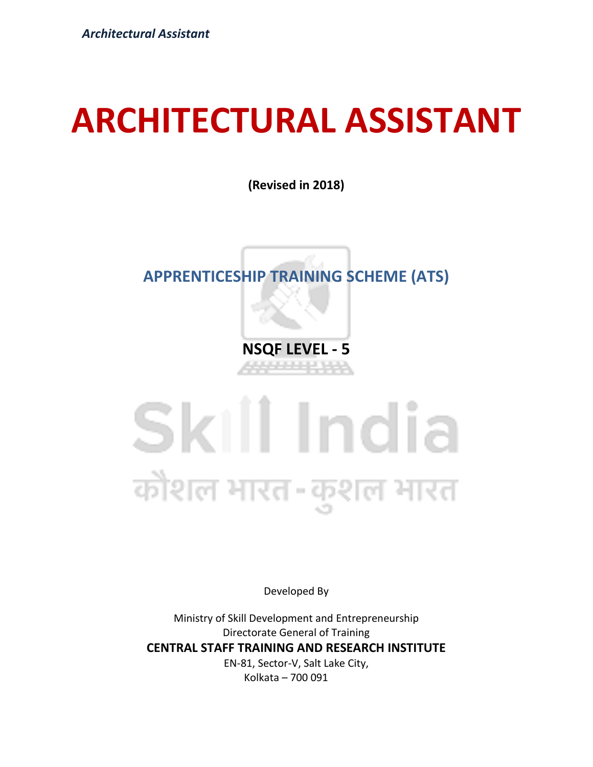# **ARCHITECTURAL ASSISTANT**

**(Revised in 2018)**

# **APPRENTICESHIP TRAINING SCHEME (ATS)**

**NSQF LEVEL - 5**

# Skill India कोशल भारत-कुशल भारत

Developed By

Ministry of Skill Development and Entrepreneurship Directorate General of Training **CENTRAL STAFF TRAINING AND RESEARCH INSTITUTE** EN-81, Sector-V, Salt Lake City,

Kolkata – 700 091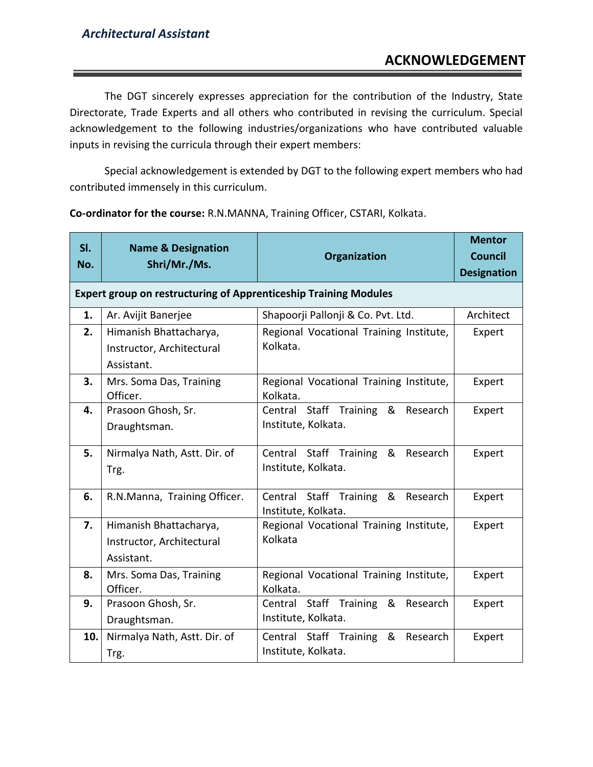The DGT sincerely expresses appreciation for the contribution of the Industry, State Directorate, Trade Experts and all others who contributed in revising the curriculum. Special acknowledgement to the following industries/organizations who have contributed valuable inputs in revising the curricula through their expert members:

Special acknowledgement is extended by DGT to the following expert members who had contributed immensely in this curriculum.

| SI.<br>No. | <b>Name &amp; Designation</b><br>Shri/Mr./Ms.                           | <b>Organization</b>                                      | <b>Mentor</b><br>Council<br><b>Designation</b> |
|------------|-------------------------------------------------------------------------|----------------------------------------------------------|------------------------------------------------|
|            | <b>Expert group on restructuring of Apprenticeship Training Modules</b> |                                                          |                                                |
| 1.         | Ar. Avijit Banerjee                                                     | Shapoorji Pallonji & Co. Pvt. Ltd.                       | Architect                                      |
| 2.         | Himanish Bhattacharya,                                                  | Regional Vocational Training Institute,<br>Kolkata.      | Expert                                         |
|            | Instructor, Architectural<br>Assistant.                                 |                                                          |                                                |
| 3.         | Mrs. Soma Das, Training<br>Officer.                                     | Regional Vocational Training Institute,<br>Kolkata.      | Expert                                         |
| 4.         | Prasoon Ghosh, Sr.                                                      | Central Staff Training & Research                        | Expert                                         |
|            | Draughtsman.                                                            | Institute, Kolkata.                                      |                                                |
| 5.         | Nirmalya Nath, Astt. Dir. of                                            | Central Staff Training<br>& Research                     | Expert                                         |
|            | Trg.                                                                    | Institute, Kolkata.                                      |                                                |
| 6.         | R.N.Manna, Training Officer.                                            | Central Staff Training & Research<br>Institute, Kolkata. | Expert                                         |
| 7.         | Himanish Bhattacharya,                                                  | Regional Vocational Training Institute,                  | Expert                                         |
|            | Instructor, Architectural                                               | Kolkata                                                  |                                                |
|            | Assistant.                                                              |                                                          |                                                |
| 8.         | Mrs. Soma Das, Training<br>Officer.                                     | Regional Vocational Training Institute,<br>Kolkata.      | Expert                                         |
| 9.         | Prasoon Ghosh, Sr.                                                      | Central Staff Training & Research                        | Expert                                         |
|            | Draughtsman.                                                            | Institute, Kolkata.                                      |                                                |
| 10.        | Nirmalya Nath, Astt. Dir. of                                            | Central Staff Training<br>&<br>Research                  | Expert                                         |
|            | Trg.                                                                    | Institute, Kolkata.                                      |                                                |

**Co-ordinator for the course:** R.N.MANNA, Training Officer, CSTARI, Kolkata.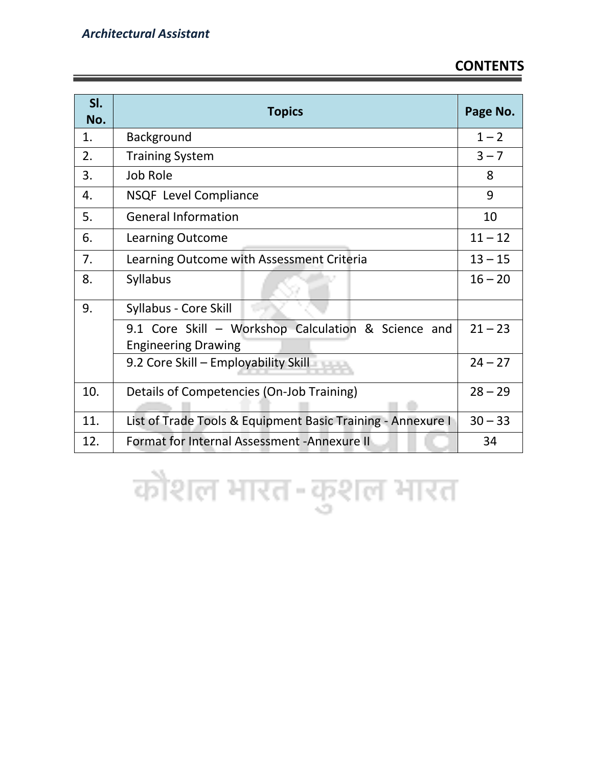| SI.<br>No. | <b>Topics</b>                                                                     | Page No.  |
|------------|-----------------------------------------------------------------------------------|-----------|
| 1.         | <b>Background</b>                                                                 | $1 - 2$   |
| 2.         | <b>Training System</b>                                                            | $3 - 7$   |
| 3.         | Job Role                                                                          | 8         |
| 4.         | <b>NSQF Level Compliance</b>                                                      | 9         |
| 5.         | <b>General Information</b>                                                        | 10        |
| 6.         | <b>Learning Outcome</b>                                                           | $11 - 12$ |
| 7.         | Learning Outcome with Assessment Criteria                                         | $13 - 15$ |
| 8.         | <b>Syllabus</b>                                                                   | $16 - 20$ |
| 9.         | Syllabus - Core Skill                                                             |           |
|            | 9.1 Core Skill - Workshop Calculation & Science and<br><b>Engineering Drawing</b> | $21 - 23$ |
|            | 9.2 Core Skill - Employability Skill                                              | $24 - 27$ |
| 10.        | Details of Competencies (On-Job Training)                                         |           |
| 11.        | List of Trade Tools & Equipment Basic Training - Annexure I                       |           |
| 12.        | Format for Internal Assessment - Annexure II                                      | 34        |

कोशल भारत-कुशल भारत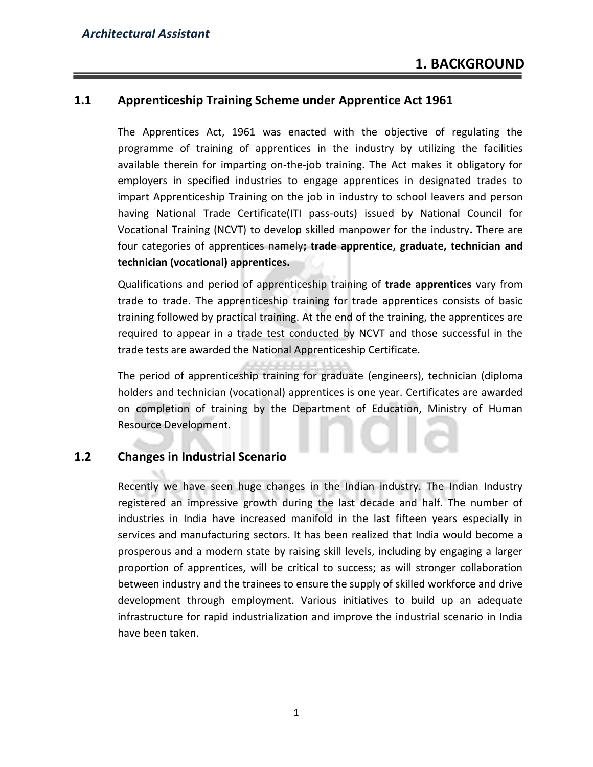# **1.1 Apprenticeship Training Scheme under Apprentice Act 1961**

The Apprentices Act, 1961 was enacted with the objective of regulating the programme of training of apprentices in the industry by utilizing the facilities available therein for imparting on-the-job training. The Act makes it obligatory for employers in specified industries to engage apprentices in designated trades to impart Apprenticeship Training on the job in industry to school leavers and person having National Trade Certificate(ITI pass-outs) issued by National Council for Vocational Training (NCVT) to develop skilled manpower for the industry**.** There are four categories of apprentices namely**; trade apprentice, graduate, technician and technician (vocational) apprentices.** 

Qualifications and period of apprenticeship training of **trade apprentices** vary from trade to trade. The apprenticeship training for trade apprentices consists of basic training followed by practical training. At the end of the training, the apprentices are required to appear in a trade test conducted by NCVT and those successful in the trade tests are awarded the National Apprenticeship Certificate.

The period of apprenticeship training for graduate (engineers), technician (diploma holders and technician (vocational) apprentices is one year. Certificates are awarded on completion of training by the Department of Education, Ministry of Human Resource Development.

## **1.2 Changes in Industrial Scenario**

Recently we have seen huge changes in the Indian industry. The Indian Industry registered an impressive growth during the last decade and half. The number of industries in India have increased manifold in the last fifteen years especially in services and manufacturing sectors. It has been realized that India would become a prosperous and a modern state by raising skill levels, including by engaging a larger proportion of apprentices, will be critical to success; as will stronger collaboration between industry and the trainees to ensure the supply of skilled workforce and drive development through employment. Various initiatives to build up an adequate infrastructure for rapid industrialization and improve the industrial scenario in India have been taken.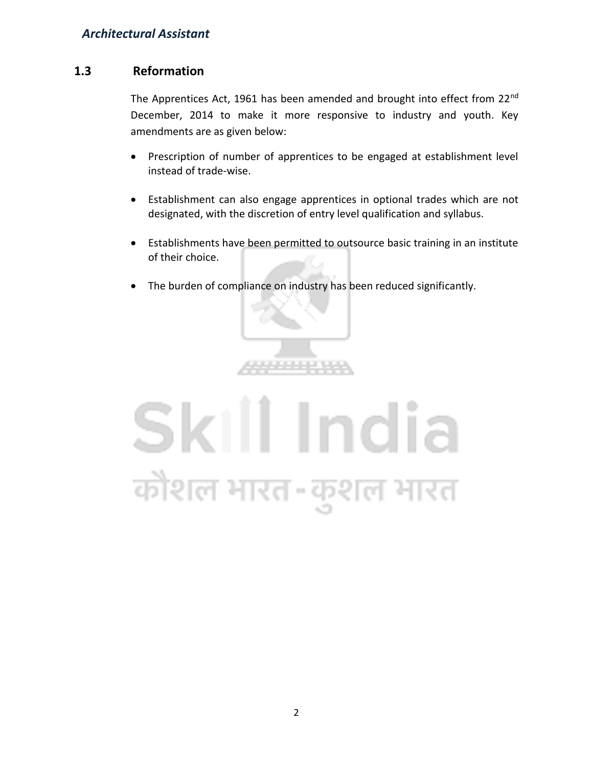# **1.3 Reformation**

The Apprentices Act, 1961 has been amended and brought into effect from 22<sup>nd</sup> December, 2014 to make it more responsive to industry and youth. Key amendments are as given below:

- Prescription of number of apprentices to be engaged at establishment level instead of trade-wise.
- Establishment can also engage apprentices in optional trades which are not designated, with the discretion of entry level qualification and syllabus.
- Establishments have been permitted to outsource basic training in an institute of their choice.
- The burden of compliance on industry has been reduced significantly.



# Skill India कोशल भारत-कुशल भारत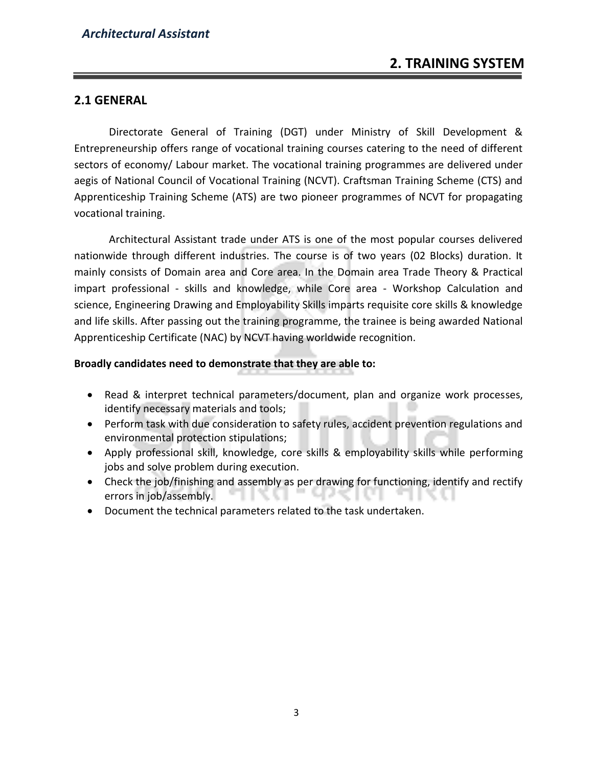# **2.1 GENERAL**

Directorate General of Training (DGT) under Ministry of Skill Development & Entrepreneurship offers range of vocational training courses catering to the need of different sectors of economy/ Labour market. The vocational training programmes are delivered under aegis of National Council of Vocational Training (NCVT). Craftsman Training Scheme (CTS) and Apprenticeship Training Scheme (ATS) are two pioneer programmes of NCVT for propagating vocational training.

Architectural Assistant trade under ATS is one of the most popular courses delivered nationwide through different industries. The course is of two years (02 Blocks) duration. It mainly consists of Domain area and Core area. In the Domain area Trade Theory & Practical impart professional - skills and knowledge, while Core area - Workshop Calculation and science, Engineering Drawing and Employability Skills imparts requisite core skills & knowledge and life skills. After passing out the training programme, the trainee is being awarded National Apprenticeship Certificate (NAC) by NCVT having worldwide recognition.

#### **Broadly candidates need to demonstrate that they are able to:**

- Read & interpret technical parameters/document, plan and organize work processes, identify necessary materials and tools;
- Perform task with due consideration to safety rules, accident prevention regulations and environmental protection stipulations;
- Apply professional skill, knowledge, core skills & employability skills while performing jobs and solve problem during execution.
- Check the job/finishing and assembly as per drawing for functioning, identify and rectify errors in job/assembly.
- Document the technical parameters related to the task undertaken.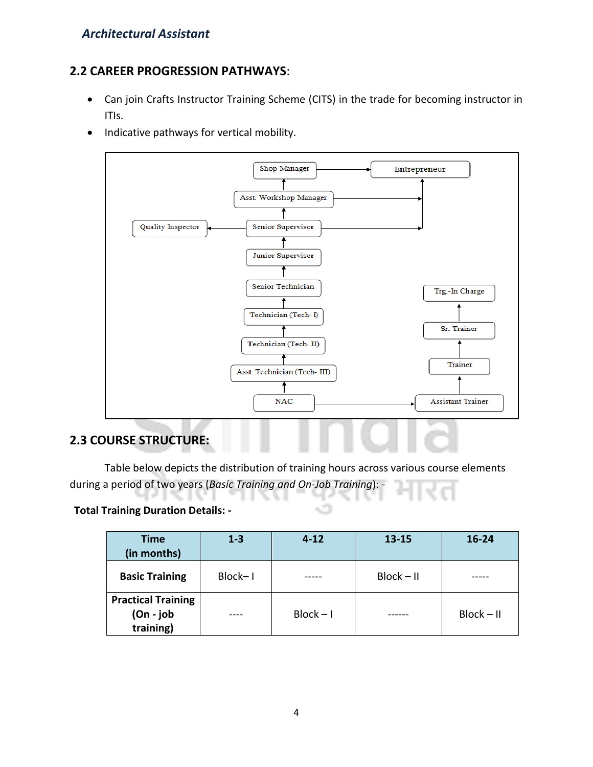# **2.2 CAREER PROGRESSION PATHWAYS**:

- Can join Crafts Instructor Training Scheme (CITS) in the trade for becoming instructor in ITIs.
- Indicative pathways for vertical mobility.



# **2.3 COURSE STRUCTURE:**

Table below depicts the distribution of training hours across various course elements during a period of two years (*Basic Training and On-Job Training*): -

## **Total Training Duration Details: -**

| <b>Time</b><br>(in months)                             | $1 - 3$ | $4 - 12$    | $13 - 15$    | $16 - 24$    |
|--------------------------------------------------------|---------|-------------|--------------|--------------|
| <b>Basic Training</b>                                  | Block-1 |             | $Block - II$ |              |
| <b>Practical Training</b><br>$(On - job)$<br>training) |         | $Block - I$ |              | $Block - II$ |

÷.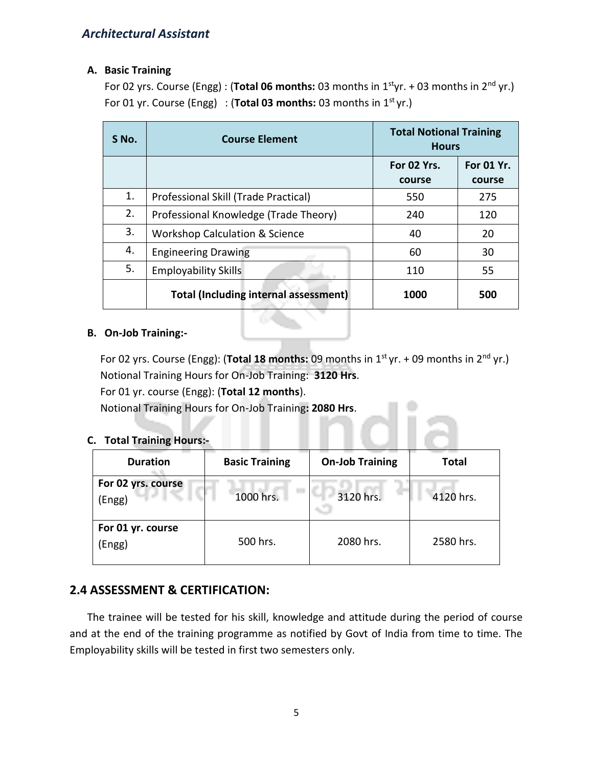#### **A. Basic Training**

For 02 yrs. Course (Engg): (**Total 06 months:** 03 months in 1<sup>st</sup>yr. + 03 months in 2<sup>nd</sup> yr.) For 01 yr. Course (Engg) : (**Total 03 months:** 03 months in 1<sup>st</sup> yr.)

| S No. | <b>Course Element</b>                        | <b>Total Notional Training</b><br><b>Hours</b> |                      |
|-------|----------------------------------------------|------------------------------------------------|----------------------|
|       |                                              | For 02 Yrs.<br>course                          | For 01 Yr.<br>course |
| 1.    | Professional Skill (Trade Practical)         | 550                                            | 275                  |
| 2.    | Professional Knowledge (Trade Theory)        | 240                                            | 120                  |
| 3.    | <b>Workshop Calculation &amp; Science</b>    | 40                                             | 20                   |
| 4.    | <b>Engineering Drawing</b>                   | 60                                             | 30                   |
| 5.    | <b>Employability Skills</b>                  | 110                                            | 55                   |
|       | <b>Total (Including internal assessment)</b> | 1000                                           | 500                  |

#### **B. On-Job Training:-**

For 02 yrs. Course (Engg): (**Total 18 months:** 09 months in 1<sup>st</sup> yr. + 09 months in 2<sup>nd</sup> yr.) Notional Training Hours for On-Job Training: **3120 Hrs**. For 01 yr. course (Engg): (**Total 12 months**).

Notional Training Hours for On-Job Training**: 2080 Hrs**.

## **C. Total Training Hours:-**

| <b>Duration</b>              | <b>Basic Training</b> | <b>On-Job Training</b> | <b>Total</b> |
|------------------------------|-----------------------|------------------------|--------------|
| For 02 yrs. course<br>(Engg) | 1000 hrs.             | 3120 hrs.              | 4120 hrs.    |
| For 01 yr. course<br>(Engg)  | 500 hrs.              | 2080 hrs.              | 2580 hrs.    |

# **2.4 ASSESSMENT & CERTIFICATION:**

The trainee will be tested for his skill, knowledge and attitude during the period of course and at the end of the training programme as notified by Govt of India from time to time. The Employability skills will be tested in first two semesters only.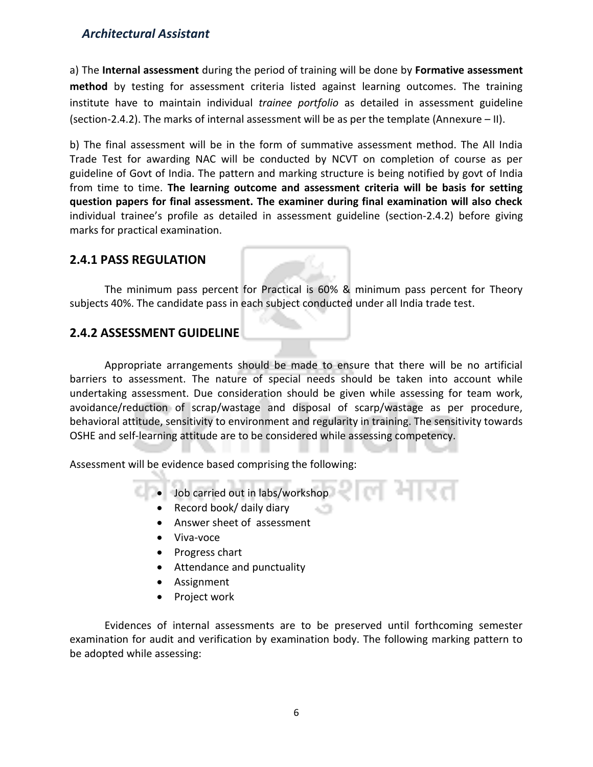a) The **Internal assessment** during the period of training will be done by **Formative assessment method** by testing for assessment criteria listed against learning outcomes. The training institute have to maintain individual *trainee portfolio* as detailed in assessment guideline (section-2.4.2). The marks of internal assessment will be as per the template (Annexure – II).

b) The final assessment will be in the form of summative assessment method. The All India Trade Test for awarding NAC will be conducted by NCVT on completion of course as per guideline of Govt of India. The pattern and marking structure is being notified by govt of India from time to time. **The learning outcome and assessment criteria will be basis for setting question papers for final assessment. The examiner during final examination will also check**  individual trainee's profile as detailed in assessment guideline (section-2.4.2) before giving marks for practical examination.

# **2.4.1 PASS REGULATION**

The minimum pass percent for Practical is 60% & minimum pass percent for Theory subjects 40%. The candidate pass in each subject conducted under all India trade test.

# **2.4.2 ASSESSMENT GUIDELINE**

Appropriate arrangements should be made to ensure that there will be no artificial barriers to assessment. The nature of special needs should be taken into account while undertaking assessment. Due consideration should be given while assessing for team work, avoidance/reduction of scrap/wastage and disposal of scarp/wastage as per procedure, behavioral attitude, sensitivity to environment and regularity in training. The sensitivity towards OSHE and self-learning attitude are to be considered while assessing competency.

Assessment will be evidence based comprising the following:

- Job carried out in labs/workshop
	- Record book/ daily diary
	- Answer sheet of assessment
	- Viva-voce
	- Progress chart
	- Attendance and punctuality
	- Assignment
	- Project work

Evidences of internal assessments are to be preserved until forthcoming semester examination for audit and verification by examination body. The following marking pattern to be adopted while assessing: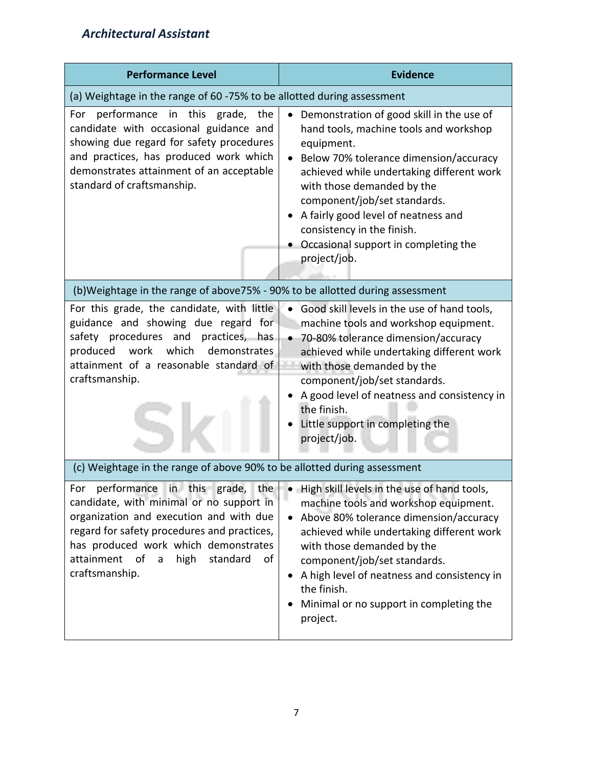| <b>Performance Level</b>                                                                                                                                                                                                                                                                        | <b>Evidence</b>                                                                                                                                                                                                                                                                                                                                                                                  |  |
|-------------------------------------------------------------------------------------------------------------------------------------------------------------------------------------------------------------------------------------------------------------------------------------------------|--------------------------------------------------------------------------------------------------------------------------------------------------------------------------------------------------------------------------------------------------------------------------------------------------------------------------------------------------------------------------------------------------|--|
| (a) Weightage in the range of 60 -75% to be allotted during assessment                                                                                                                                                                                                                          |                                                                                                                                                                                                                                                                                                                                                                                                  |  |
| For performance in this grade, the<br>candidate with occasional guidance and<br>showing due regard for safety procedures<br>and practices, has produced work which<br>demonstrates attainment of an acceptable<br>standard of craftsmanship.                                                    | Demonstration of good skill in the use of<br>$\bullet$<br>hand tools, machine tools and workshop<br>equipment.<br>Below 70% tolerance dimension/accuracy<br>achieved while undertaking different work<br>with those demanded by the<br>component/job/set standards.<br>A fairly good level of neatness and<br>consistency in the finish.<br>Occasional support in completing the<br>project/job. |  |
| (b)Weightage in the range of above75% - 90% to be allotted during assessment                                                                                                                                                                                                                    |                                                                                                                                                                                                                                                                                                                                                                                                  |  |
| For this grade, the candidate, with little<br>guidance and showing due regard for<br>safety procedures and<br>practices, has<br>work<br>which<br>produced<br>demonstrates<br>attainment of a reasonable standard of<br>craftsmanship.                                                           | Good skill levels in the use of hand tools,<br>machine tools and workshop equipment.<br>70-80% tolerance dimension/accuracy<br>achieved while undertaking different work<br>with those demanded by the<br>component/job/set standards.<br>A good level of neatness and consistency in<br>the finish.<br>Little support in completing the<br>project/job.                                         |  |
| (c) Weightage in the range of above 90% to be allotted during assessment                                                                                                                                                                                                                        |                                                                                                                                                                                                                                                                                                                                                                                                  |  |
| performance in this<br>the $ $<br>grade,<br>For<br>candidate, with minimal or no support in<br>organization and execution and with due<br>regard for safety procedures and practices,<br>has produced work which demonstrates<br>attainment of<br>high<br>standard<br>of<br>a<br>craftsmanship. | • High skill levels in the use of hand tools,<br>machine tools and workshop equipment.<br>Above 80% tolerance dimension/accuracy<br>$\bullet$<br>achieved while undertaking different work<br>with those demanded by the<br>component/job/set standards.<br>A high level of neatness and consistency in<br>the finish.<br>Minimal or no support in completing the<br>project.                    |  |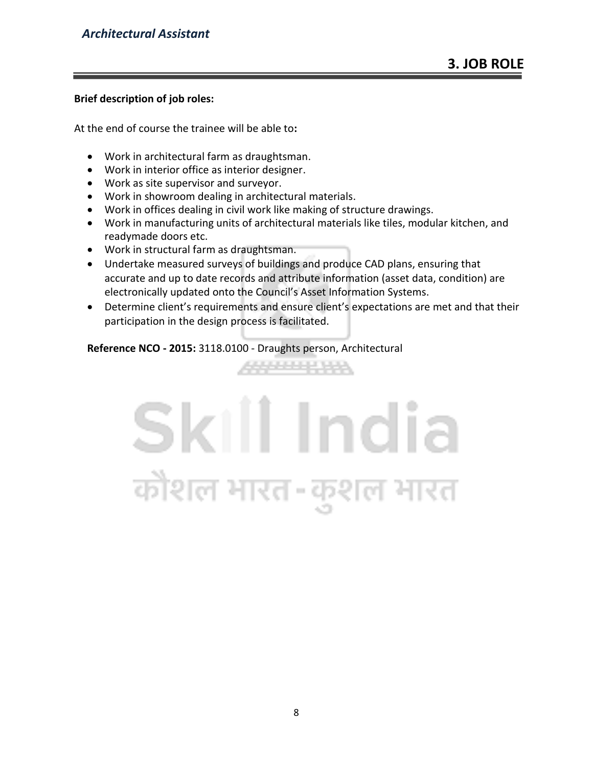#### **Brief description of job roles:**

At the end of course the trainee will be able to**:**

- Work in architectural farm as draughtsman.
- Work in interior office as interior designer.
- Work as site supervisor and surveyor.
- Work in showroom dealing in architectural materials.
- Work in offices dealing in civil work like making of structure drawings.
- Work in manufacturing units of architectural materials like tiles, modular kitchen, and readymade doors etc.
- Work in structural farm as draughtsman.
- Undertake measured surveys of buildings and produce CAD plans, ensuring that accurate and up to date records and attribute information (asset data, condition) are electronically updated onto the Council's Asset Information Systems.
- Determine client's requirements and ensure client's expectations are met and that their participation in the design process is facilitated.

**ARRESTS A** 

**Reference NCO - 2015:** 3118.0100 - Draughts person, Architectural

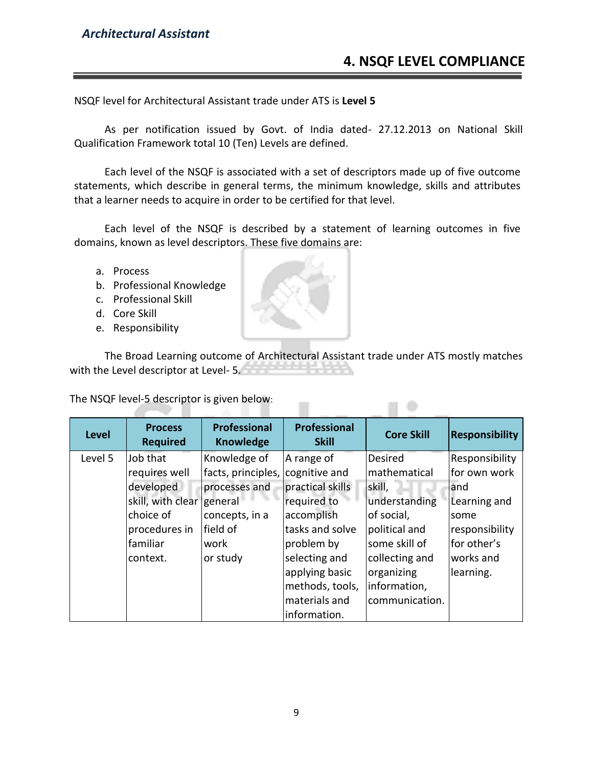NSQF level for Architectural Assistant trade under ATS is **Level 5**

As per notification issued by Govt. of India dated- 27.12.2013 on National Skill Qualification Framework total 10 (Ten) Levels are defined.

Each level of the NSQF is associated with a set of descriptors made up of five outcome statements, which describe in general terms, the minimum knowledge, skills and attributes that a learner needs to acquire in order to be certified for that level.

Each level of the NSQF is described by a statement of learning outcomes in five domains, known as level descriptors. These five domains are:

- a. Process
- b. Professional Knowledge
- c. Professional Skill
- d. Core Skill
- e. Responsibility

The Broad Learning outcome of Architectural Assistant trade under ATS mostly matches with the Level descriptor at Level- 5.

The NSQF level-5 descriptor is given below:

| <b>Level</b> | <b>Process</b><br><b>Required</b> | Professional<br><b>Knowledge</b> | <b>Professional</b><br><b>Skill</b> | <b>Core Skill</b> | <b>Responsibility</b> |
|--------------|-----------------------------------|----------------------------------|-------------------------------------|-------------------|-----------------------|
| Level 5      | Job that                          | Knowledge of                     | A range of                          | <b>Desired</b>    | Responsibility        |
|              | requires well                     | facts, principles,               | cognitive and                       | mathematical      | for own work          |
|              | developed                         | processes and                    | practical skills                    | skill,            | and                   |
|              | skill, with clear general         |                                  | required to                         | understanding     | Learning and          |
|              | choice of                         | concepts, in a                   | accomplish                          | of social,        | some                  |
|              | procedures in                     | field of                         | tasks and solve                     | political and     | responsibility        |
|              | familiar                          | work                             | problem by                          | some skill of     | for other's           |
|              | context.                          | or study                         | selecting and                       | collecting and    | works and             |
|              |                                   |                                  | applying basic                      | organizing        | learning.             |
|              |                                   |                                  | methods, tools,                     | information,      |                       |
|              |                                   |                                  | materials and                       | communication.    |                       |
|              |                                   |                                  | information.                        |                   |                       |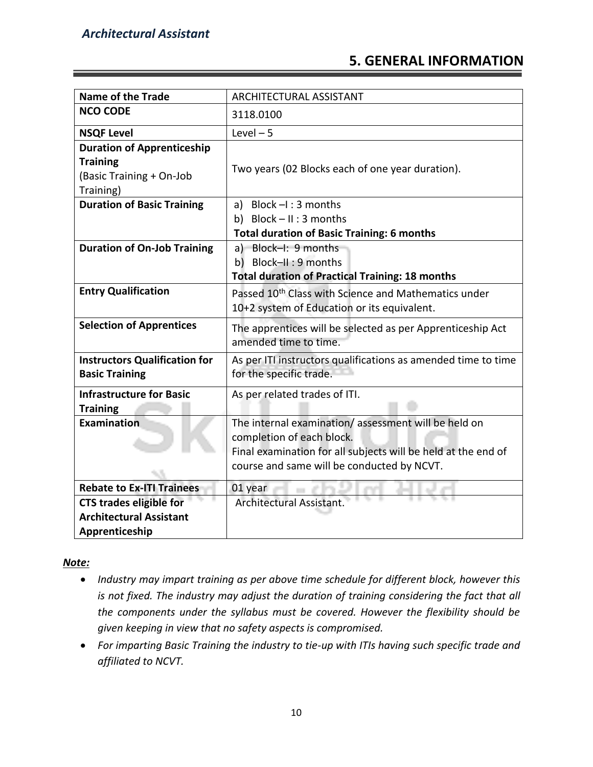# **5. GENERAL INFORMATION**

| <b>Name of the Trade</b>                                                           | ARCHITECTURAL ASSISTANT                                                                                                                                                                         |
|------------------------------------------------------------------------------------|-------------------------------------------------------------------------------------------------------------------------------------------------------------------------------------------------|
| <b>NCO CODE</b>                                                                    | 3118.0100                                                                                                                                                                                       |
| <b>NSQF Level</b>                                                                  | Level $-5$                                                                                                                                                                                      |
| <b>Duration of Apprenticeship</b><br><b>Training</b><br>(Basic Training + On-Job   | Two years (02 Blocks each of one year duration).                                                                                                                                                |
| Training)<br><b>Duration of Basic Training</b>                                     | a) Block $-I$ : 3 months<br>b) Block $- II : 3$ months<br><b>Total duration of Basic Training: 6 months</b>                                                                                     |
| <b>Duration of On-Job Training</b>                                                 | a) Block-I: 9 months<br>b) Block-II: 9 months<br><b>Total duration of Practical Training: 18 months</b>                                                                                         |
| <b>Entry Qualification</b>                                                         | Passed 10 <sup>th</sup> Class with Science and Mathematics under<br>10+2 system of Education or its equivalent.                                                                                 |
| <b>Selection of Apprentices</b>                                                    | The apprentices will be selected as per Apprenticeship Act<br>amended time to time.                                                                                                             |
| <b>Instructors Qualification for</b><br><b>Basic Training</b>                      | As per ITI instructors qualifications as amended time to time<br>for the specific trade.                                                                                                        |
| <b>Infrastructure for Basic</b><br><b>Training</b>                                 | As per related trades of ITI.                                                                                                                                                                   |
| <b>Examination</b>                                                                 | The internal examination/assessment will be held on<br>completion of each block.<br>Final examination for all subjects will be held at the end of<br>course and same will be conducted by NCVT. |
| <b>Rebate to Ex-ITI Trainees</b>                                                   | 01 year                                                                                                                                                                                         |
| <b>CTS trades eligible for</b><br><b>Architectural Assistant</b><br>Apprenticeship | <b>Architectural Assistant.</b>                                                                                                                                                                 |

## *Note:*

- *Industry may impart training as per above time schedule for different block, however this is not fixed. The industry may adjust the duration of training considering the fact that all the components under the syllabus must be covered. However the flexibility should be given keeping in view that no safety aspects is compromised.*
- *For imparting Basic Training the industry to tie-up with ITIs having such specific trade and affiliated to NCVT.*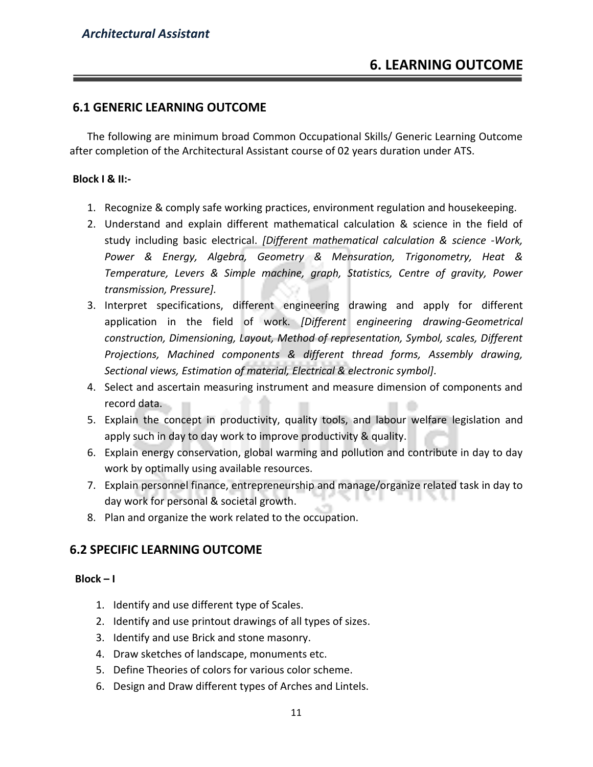# **6.1 GENERIC LEARNING OUTCOME**

The following are minimum broad Common Occupational Skills/ Generic Learning Outcome after completion of the Architectural Assistant course of 02 years duration under ATS.

#### **Block I & II:-**

- 1. Recognize & comply safe working practices, environment regulation and housekeeping.
- 2. Understand and explain different mathematical calculation & science in the field of study including basic electrical. *[Different mathematical calculation & science -Work, Power & Energy, Algebra, Geometry & Mensuration, Trigonometry, Heat & Temperature, Levers & Simple machine, graph, Statistics, Centre of gravity, Power transmission, Pressure].*
- 3. Interpret specifications, different engineering drawing and apply for different application in the field of work. *[Different engineering drawing-Geometrical construction, Dimensioning, Layout, Method of representation, Symbol, scales, Different Projections, Machined components & different thread forms, Assembly drawing, Sectional views, Estimation of material, Electrical & electronic symbol].*
- 4. Select and ascertain measuring instrument and measure dimension of components and record data.
- 5. Explain the concept in productivity, quality tools, and labour welfare legislation and apply such in day to day work to improve productivity & quality.
- 6. Explain energy conservation, global warming and pollution and contribute in day to day work by optimally using available resources.
- 7. Explain personnel finance, entrepreneurship and manage/organize related task in day to day work for personal & societal growth.
- 8. Plan and organize the work related to the occupation.

# **6.2 SPECIFIC LEARNING OUTCOME**

#### **Block – I**

- 1. Identify and use different type of Scales.
- 2. Identify and use printout drawings of all types of sizes.
- 3. Identify and use Brick and stone masonry.
- 4. Draw sketches of landscape, monuments etc.
- 5. Define Theories of colors for various color scheme.
- 6. Design and Draw different types of Arches and Lintels.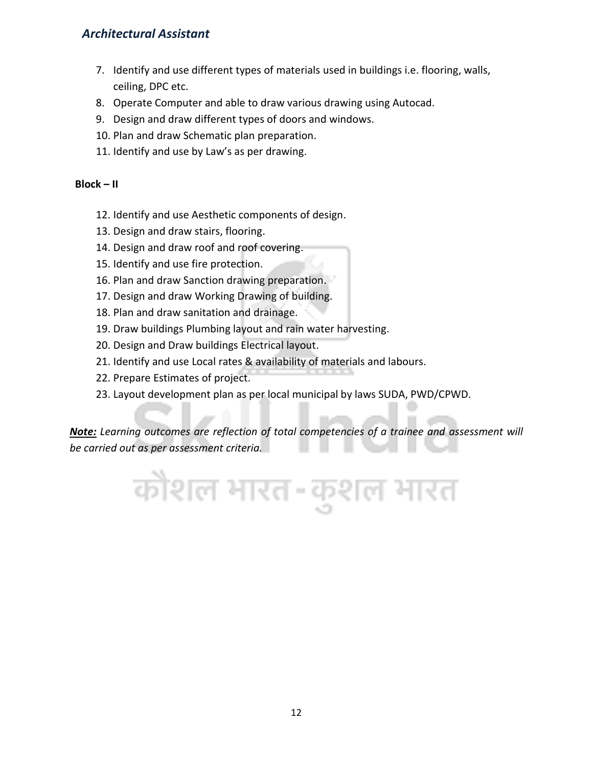- 7. Identify and use different types of materials used in buildings i.e. flooring, walls, ceiling, DPC etc.
- 8. Operate Computer and able to draw various drawing using Autocad.
- 9. Design and draw different types of doors and windows.
- 10. Plan and draw Schematic plan preparation.
- 11. Identify and use by Law's as per drawing.

#### **Block – II**

- 12. Identify and use Aesthetic components of design.
- 13. Design and draw stairs, flooring.
- 14. Design and draw roof and roof covering.
- 15. Identify and use fire protection.
- 16. Plan and draw Sanction drawing preparation.
- 17. Design and draw Working Drawing of building.
- 18. Plan and draw sanitation and drainage.
- 19. Draw buildings Plumbing layout and rain water harvesting.
- 20. Design and Draw buildings Electrical layout.
- 21. Identify and use Local rates & availability of materials and labours.
- 22. Prepare Estimates of project.
- 23. Layout development plan as per local municipal by laws SUDA, PWD/CPWD.

*Note: Learning outcomes are reflection of total competencies of a trainee and assessment will be carried out as per assessment criteria.*

कोशल भारत-कुशल भारत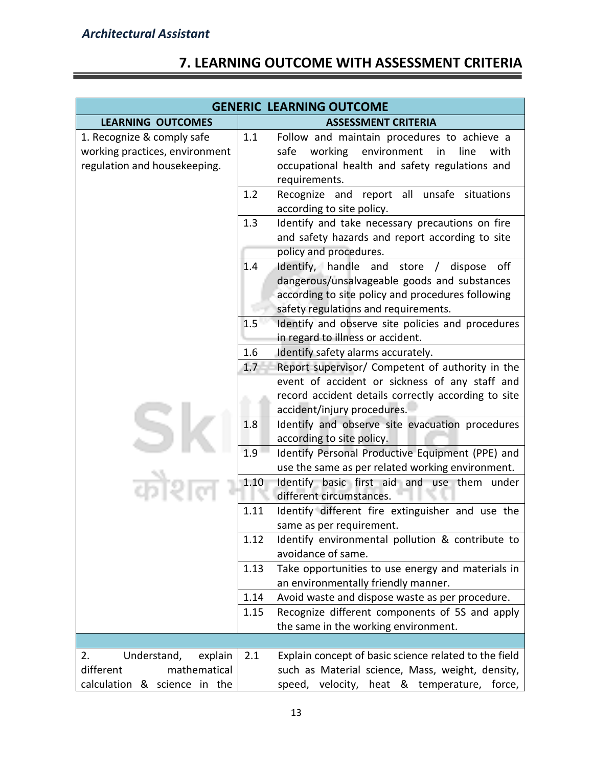# **7. LEARNING OUTCOME WITH ASSESSMENT CRITERIA**

|                                                                                              | <b>GENERIC LEARNING OUTCOME</b>                                                                                                                                                                    |
|----------------------------------------------------------------------------------------------|----------------------------------------------------------------------------------------------------------------------------------------------------------------------------------------------------|
| <b>LEARNING OUTCOMES</b>                                                                     | <b>ASSESSMENT CRITERIA</b>                                                                                                                                                                         |
| 1. Recognize & comply safe<br>working practices, environment<br>regulation and housekeeping. | 1.1<br>Follow and maintain procedures to achieve a<br>working<br>environment<br>safe<br>line<br>with<br>in<br>occupational health and safety regulations and<br>requirements.                      |
|                                                                                              | 1.2<br>Recognize and report all unsafe situations<br>according to site policy.                                                                                                                     |
|                                                                                              | 1.3<br>Identify and take necessary precautions on fire<br>and safety hazards and report according to site<br>policy and procedures.                                                                |
|                                                                                              | 1.4<br>Identify, handle and<br>store / dispose<br>off<br>dangerous/unsalvageable goods and substances<br>according to site policy and procedures following<br>safety regulations and requirements. |
|                                                                                              | 1.5<br>Identify and observe site policies and procedures<br>in regard to illness or accident.                                                                                                      |
|                                                                                              | 1.6<br>Identify safety alarms accurately.                                                                                                                                                          |
|                                                                                              | 1.7<br>Report supervisor/ Competent of authority in the                                                                                                                                            |
|                                                                                              | event of accident or sickness of any staff and                                                                                                                                                     |
|                                                                                              | record accident details correctly according to site                                                                                                                                                |
|                                                                                              | accident/injury procedures.                                                                                                                                                                        |
|                                                                                              | 1.8<br>Identify and observe site evacuation procedures<br>according to site policy.                                                                                                                |
|                                                                                              | 1.9<br>Identify Personal Productive Equipment (PPE) and<br>use the same as per related working environment.                                                                                        |
|                                                                                              | 1.10<br>Identify basic first aid and use them under<br>different circumstances.                                                                                                                    |
|                                                                                              | 1.11<br>Identify different fire extinguisher and use the<br>same as per requirement.                                                                                                               |
|                                                                                              | 1.12<br>Identify environmental pollution & contribute to<br>avoidance of same.                                                                                                                     |
|                                                                                              | 1.13<br>Take opportunities to use energy and materials in<br>an environmentally friendly manner.                                                                                                   |
|                                                                                              | 1.14<br>Avoid waste and dispose waste as per procedure.                                                                                                                                            |
|                                                                                              | Recognize different components of 5S and apply<br>1.15                                                                                                                                             |
|                                                                                              | the same in the working environment.                                                                                                                                                               |
|                                                                                              |                                                                                                                                                                                                    |
| Understand,<br>2.<br>explain                                                                 | Explain concept of basic science related to the field<br>2.1                                                                                                                                       |
| different<br>mathematical                                                                    | such as Material science, Mass, weight, density,                                                                                                                                                   |
| calculation & science in the                                                                 | heat & temperature, force,<br>speed, velocity,                                                                                                                                                     |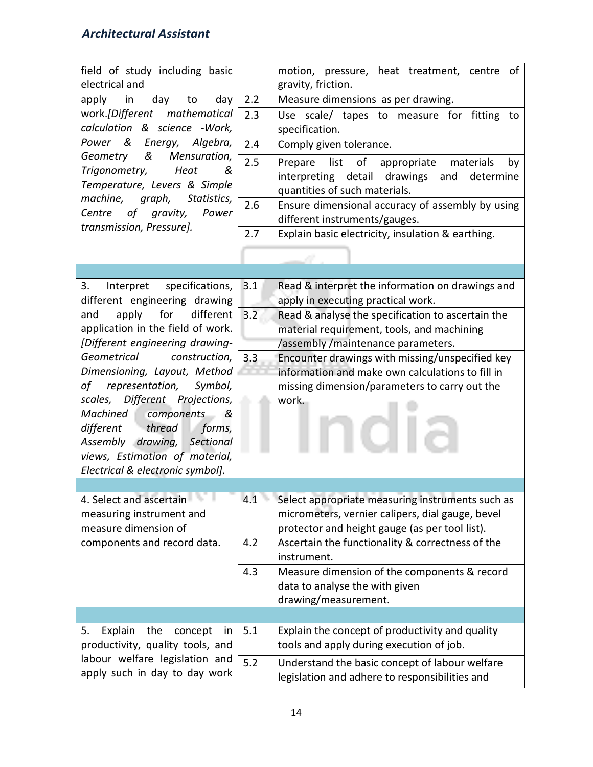| field of study including basic<br>electrical and                                                                                                                                                                                                                                                          | motion, pressure, heat treatment, centre of<br>gravity, friction.                                                                                                                                           |
|-----------------------------------------------------------------------------------------------------------------------------------------------------------------------------------------------------------------------------------------------------------------------------------------------------------|-------------------------------------------------------------------------------------------------------------------------------------------------------------------------------------------------------------|
| day<br>apply<br>in<br>to<br>day                                                                                                                                                                                                                                                                           | 2.2<br>Measure dimensions as per drawing.                                                                                                                                                                   |
| work.[Different mathematical<br>calculation & science -Work,                                                                                                                                                                                                                                              | 2.3<br>Use scale/ tapes to measure for<br>fitting<br>to<br>specification.                                                                                                                                   |
| Power &<br>Energy, Algebra,<br>&                                                                                                                                                                                                                                                                          | 2.4<br>Comply given tolerance.                                                                                                                                                                              |
| Mensuration,<br>Geometry<br>Trigonometry,<br>Heat<br>&<br>Temperature, Levers & Simple<br>machine, graph, Statistics,<br>of<br>gravity,<br>Power<br>Centre                                                                                                                                                | 2.5<br>of<br>list<br>appropriate<br>materials<br>Prepare<br>by<br>interpreting detail drawings and<br>determine<br>quantities of such materials.<br>2.6<br>Ensure dimensional accuracy of assembly by using |
| transmission, Pressure].                                                                                                                                                                                                                                                                                  | different instruments/gauges.<br>2.7<br>Explain basic electricity, insulation & earthing.                                                                                                                   |
|                                                                                                                                                                                                                                                                                                           |                                                                                                                                                                                                             |
|                                                                                                                                                                                                                                                                                                           |                                                                                                                                                                                                             |
| specifications,<br>3.<br>Interpret<br>different engineering drawing                                                                                                                                                                                                                                       | 3.1<br>Read & interpret the information on drawings and<br>apply in executing practical work.                                                                                                               |
| for<br>different<br>apply<br>and<br>application in the field of work.                                                                                                                                                                                                                                     | 3.2<br>Read & analyse the specification to ascertain the<br>material requirement, tools, and machining                                                                                                      |
| [Different engineering drawing-                                                                                                                                                                                                                                                                           | /assembly/maintenance parameters.                                                                                                                                                                           |
| Geometrical<br>construction,<br>Dimensioning, Layout, Method<br>representation,<br>Symbol,<br>of<br>Different Projections,<br>scales,<br>Machined components<br>- &<br>different thread<br>forms,<br>Assembly drawing,<br>Sectional<br>views, Estimation of material,<br>Electrical & electronic symbol]. | 3.3<br>Encounter drawings with missing/unspecified key<br>information and make own calculations to fill in<br>missing dimension/parameters to carry out the<br>work.                                        |
|                                                                                                                                                                                                                                                                                                           |                                                                                                                                                                                                             |
| 4. Select and ascertain<br>measuring instrument and<br>measure dimension of                                                                                                                                                                                                                               | 4.1<br>Select appropriate measuring instruments such as<br>micrometers, vernier calipers, dial gauge, bevel<br>protector and height gauge (as per tool list).                                               |
| components and record data.                                                                                                                                                                                                                                                                               | Ascertain the functionality & correctness of the<br>4.2<br>instrument.                                                                                                                                      |
|                                                                                                                                                                                                                                                                                                           | 4.3<br>Measure dimension of the components & record<br>data to analyse the with given<br>drawing/measurement.                                                                                               |
|                                                                                                                                                                                                                                                                                                           |                                                                                                                                                                                                             |
| Explain<br>the<br>concept<br>5.<br>in<br>productivity, quality tools, and                                                                                                                                                                                                                                 | 5.1<br>Explain the concept of productivity and quality<br>tools and apply during execution of job.                                                                                                          |
| labour welfare legislation and<br>apply such in day to day work                                                                                                                                                                                                                                           | 5.2<br>Understand the basic concept of labour welfare<br>legislation and adhere to responsibilities and                                                                                                     |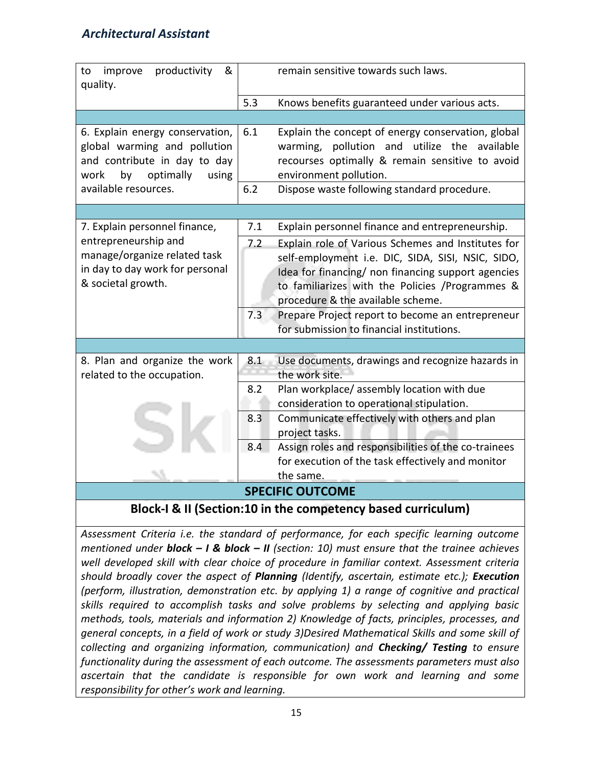| &<br>productivity<br>to<br>improve<br>quality.                                                                                                              |            | remain sensitive towards such laws.                                                                                                                                                                                                                                                                                                                    |
|-------------------------------------------------------------------------------------------------------------------------------------------------------------|------------|--------------------------------------------------------------------------------------------------------------------------------------------------------------------------------------------------------------------------------------------------------------------------------------------------------------------------------------------------------|
|                                                                                                                                                             | 5.3        | Knows benefits guaranteed under various acts.                                                                                                                                                                                                                                                                                                          |
|                                                                                                                                                             |            |                                                                                                                                                                                                                                                                                                                                                        |
| 6. Explain energy conservation,<br>global warming and pollution<br>and contribute in day to day<br>optimally<br>by<br>using<br>work<br>available resources. | 6.1<br>6.2 | Explain the concept of energy conservation, global<br>pollution and utilize the available<br>warming,<br>recourses optimally & remain sensitive to avoid<br>environment pollution.<br>Dispose waste following standard procedure.                                                                                                                      |
|                                                                                                                                                             |            |                                                                                                                                                                                                                                                                                                                                                        |
| 7. Explain personnel finance,                                                                                                                               | 7.1        | Explain personnel finance and entrepreneurship.                                                                                                                                                                                                                                                                                                        |
| entrepreneurship and<br>manage/organize related task<br>in day to day work for personal<br>& societal growth.                                               | 7.2<br>7.3 | Explain role of Various Schemes and Institutes for<br>self-employment i.e. DIC, SIDA, SISI, NSIC, SIDO,<br>Idea for financing/ non financing support agencies<br>to familiarizes with the Policies /Programmes &<br>procedure & the available scheme.<br>Prepare Project report to become an entrepreneur<br>for submission to financial institutions. |
|                                                                                                                                                             |            |                                                                                                                                                                                                                                                                                                                                                        |
| 8. Plan and organize the work<br>related to the occupation.                                                                                                 | 8.1<br>8.2 | Use documents, drawings and recognize hazards in<br>the work site.<br>Plan workplace/assembly location with due                                                                                                                                                                                                                                        |
|                                                                                                                                                             |            | consideration to operational stipulation.                                                                                                                                                                                                                                                                                                              |
|                                                                                                                                                             | 8.3        | Communicate effectively with others and plan<br>project tasks.                                                                                                                                                                                                                                                                                         |
|                                                                                                                                                             | 8.4        | Assign roles and responsibilities of the co-trainees                                                                                                                                                                                                                                                                                                   |
|                                                                                                                                                             |            | for execution of the task effectively and monitor<br>the same.                                                                                                                                                                                                                                                                                         |
|                                                                                                                                                             |            | <b>SPECIFIC OUTCOME</b>                                                                                                                                                                                                                                                                                                                                |
|                                                                                                                                                             |            | Rlock I & II (Section:10 in the competency based curriculum)                                                                                                                                                                                                                                                                                           |

**Block-I & II (Section:10 in the competency based curriculum)**

*Assessment Criteria i.e. the standard of performance, for each specific learning outcome mentioned under block – I & block – II (section: 10) must ensure that the trainee achieves well developed skill with clear choice of procedure in familiar context. Assessment criteria should broadly cover the aspect of Planning (Identify, ascertain, estimate etc.); Execution (perform, illustration, demonstration etc. by applying 1) a range of cognitive and practical skills required to accomplish tasks and solve problems by selecting and applying basic methods, tools, materials and information 2) Knowledge of facts, principles, processes, and general concepts, in a field of work or study 3)Desired Mathematical Skills and some skill of collecting and organizing information, communication) and Checking/ Testing to ensure functionality during the assessment of each outcome. The assessments parameters must also ascertain that the candidate is responsible for own work and learning and some responsibility for other's work and learning.*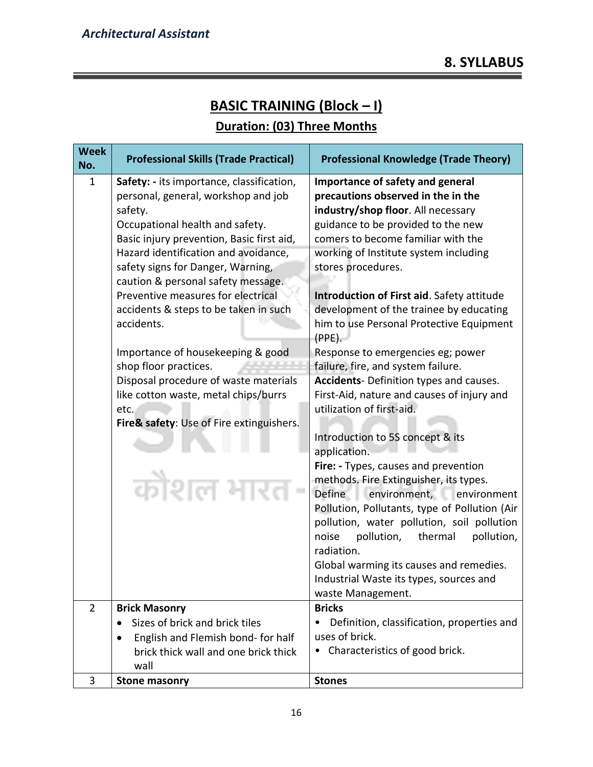# **BASIC TRAINING (Block – I)**

# **Duration: (03) Three Months**

| <b>Week</b><br>No. | <b>Professional Skills (Trade Practical)</b>                                                                                                                                                                                                                                                                                                                                                                                                                                                                                                                                                             | <b>Professional Knowledge (Trade Theory)</b>                                                                                                                                                                                                                                                                                                                                                                                                                                                                                                                                                                                                                                                                                                                                                                                                                                                                                                                                                      |
|--------------------|----------------------------------------------------------------------------------------------------------------------------------------------------------------------------------------------------------------------------------------------------------------------------------------------------------------------------------------------------------------------------------------------------------------------------------------------------------------------------------------------------------------------------------------------------------------------------------------------------------|---------------------------------------------------------------------------------------------------------------------------------------------------------------------------------------------------------------------------------------------------------------------------------------------------------------------------------------------------------------------------------------------------------------------------------------------------------------------------------------------------------------------------------------------------------------------------------------------------------------------------------------------------------------------------------------------------------------------------------------------------------------------------------------------------------------------------------------------------------------------------------------------------------------------------------------------------------------------------------------------------|
| 1                  | Safety: - its importance, classification,<br>personal, general, workshop and job<br>safety.<br>Occupational health and safety.<br>Basic injury prevention, Basic first aid,<br>Hazard identification and avoidance,<br>safety signs for Danger, Warning,<br>caution & personal safety message.<br>Preventive measures for electrical<br>accidents & steps to be taken in such<br>accidents.<br>Importance of housekeeping & good<br>shop floor practices.<br>Disposal procedure of waste materials<br>like cotton waste, metal chips/burrs<br>etc.<br>Fire& safety: Use of Fire extinguishers.<br>कोशल भ | Importance of safety and general<br>precautions observed in the in the<br>industry/shop floor. All necessary<br>guidance to be provided to the new<br>comers to become familiar with the<br>working of Institute system including<br>stores procedures.<br>Introduction of First aid. Safety attitude<br>development of the trainee by educating<br>him to use Personal Protective Equipment<br>$(PPE)$ .<br>Response to emergencies eg; power<br>failure, fire, and system failure.<br>Accidents- Definition types and causes.<br>First-Aid, nature and causes of injury and<br>utilization of first-aid.<br>Introduction to 5S concept & its<br>application.<br>Fire: - Types, causes and prevention<br>methods. Fire Extinguisher, its types.<br>Define<br>environment,<br>environment<br>Pollution, Pollutants, type of Pollution (Air<br>pollution, water pollution, soil pollution<br>pollution,<br>thermal<br>pollution,<br>noise<br>radiation.<br>Global warming its causes and remedies. |
|                    |                                                                                                                                                                                                                                                                                                                                                                                                                                                                                                                                                                                                          | Industrial Waste its types, sources and<br>waste Management.                                                                                                                                                                                                                                                                                                                                                                                                                                                                                                                                                                                                                                                                                                                                                                                                                                                                                                                                      |
| $\overline{2}$     | <b>Brick Masonry</b>                                                                                                                                                                                                                                                                                                                                                                                                                                                                                                                                                                                     | <b>Bricks</b>                                                                                                                                                                                                                                                                                                                                                                                                                                                                                                                                                                                                                                                                                                                                                                                                                                                                                                                                                                                     |
|                    | Sizes of brick and brick tiles                                                                                                                                                                                                                                                                                                                                                                                                                                                                                                                                                                           | Definition, classification, properties and                                                                                                                                                                                                                                                                                                                                                                                                                                                                                                                                                                                                                                                                                                                                                                                                                                                                                                                                                        |
|                    | English and Flemish bond- for half<br>$\bullet$                                                                                                                                                                                                                                                                                                                                                                                                                                                                                                                                                          | uses of brick.                                                                                                                                                                                                                                                                                                                                                                                                                                                                                                                                                                                                                                                                                                                                                                                                                                                                                                                                                                                    |
|                    | brick thick wall and one brick thick<br>wall                                                                                                                                                                                                                                                                                                                                                                                                                                                                                                                                                             | Characteristics of good brick.                                                                                                                                                                                                                                                                                                                                                                                                                                                                                                                                                                                                                                                                                                                                                                                                                                                                                                                                                                    |
| 3                  | <b>Stone masonry</b>                                                                                                                                                                                                                                                                                                                                                                                                                                                                                                                                                                                     | <b>Stones</b>                                                                                                                                                                                                                                                                                                                                                                                                                                                                                                                                                                                                                                                                                                                                                                                                                                                                                                                                                                                     |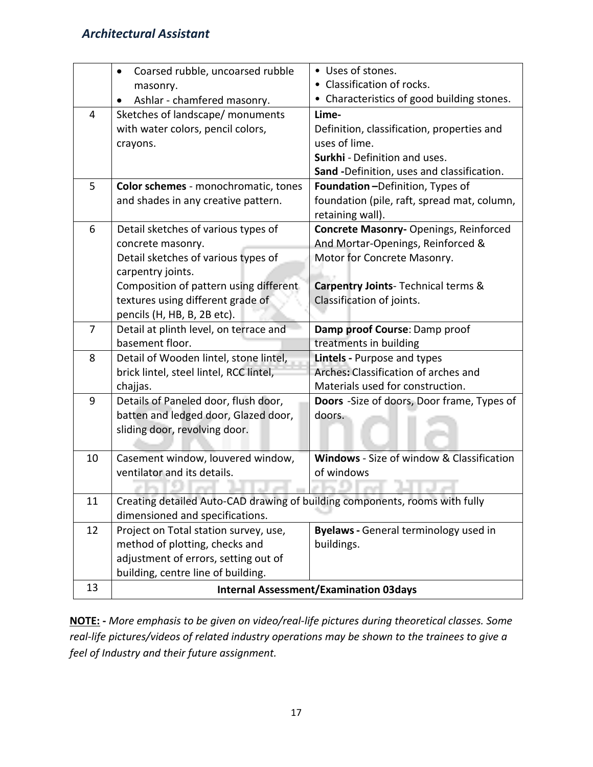|                | Coarsed rubble, uncoarsed rubble<br>masonry.<br>Ashlar - chamfered masonry. | • Uses of stones.<br>• Classification of rocks.<br>• Characteristics of good building stones. |
|----------------|-----------------------------------------------------------------------------|-----------------------------------------------------------------------------------------------|
| $\overline{4}$ | Sketches of landscape/ monuments                                            | Lime-                                                                                         |
|                | with water colors, pencil colors,<br>crayons.                               | Definition, classification, properties and<br>uses of lime.                                   |
|                |                                                                             | Surkhi - Definition and uses.                                                                 |
|                |                                                                             | Sand -Definition, uses and classification.                                                    |
| 5              | Color schemes - monochromatic, tones                                        | Foundation-Definition, Types of                                                               |
|                | and shades in any creative pattern.                                         | foundation (pile, raft, spread mat, column,<br>retaining wall).                               |
| 6              | Detail sketches of various types of                                         | Concrete Masonry- Openings, Reinforced                                                        |
|                | concrete masonry.                                                           | And Mortar-Openings, Reinforced &                                                             |
|                | Detail sketches of various types of                                         | Motor for Concrete Masonry.                                                                   |
|                | carpentry joints.<br>Composition of pattern using different.                | Carpentry Joints- Technical terms &                                                           |
|                | textures using different grade of                                           | Classification of joints.                                                                     |
|                | pencils (H, HB, B, 2B etc).                                                 |                                                                                               |
| 7              | Detail at plinth level, on terrace and                                      | Damp proof Course: Damp proof                                                                 |
|                | basement floor.                                                             | treatments in building                                                                        |
| 8              | Detail of Wooden lintel, stone lintel,                                      | Lintels - Purpose and types                                                                   |
|                | brick lintel, steel lintel, RCC lintel,                                     | Arches: Classification of arches and                                                          |
|                | chajjas.                                                                    | Materials used for construction.                                                              |
| 9              | Details of Paneled door, flush door,                                        | Doors -Size of doors, Door frame, Types of                                                    |
|                | batten and ledged door, Glazed door,                                        | doors.                                                                                        |
|                | sliding door, revolving door.                                               |                                                                                               |
| 10             | Casement window, louvered window,                                           | <b>Windows</b> - Size of window & Classification                                              |
|                | ventilator and its details.                                                 | of windows                                                                                    |
|                |                                                                             |                                                                                               |
| 11             | Creating detailed Auto-CAD drawing of building components, rooms with fully |                                                                                               |
|                | dimensioned and specifications.                                             |                                                                                               |
| 12             | Project on Total station survey, use,                                       | <b>Byelaws</b> - General terminology used in                                                  |
|                | method of plotting, checks and                                              | buildings.                                                                                    |
|                | adjustment of errors, setting out of                                        |                                                                                               |
| 13             | building, centre line of building.                                          |                                                                                               |
|                |                                                                             | <b>Internal Assessment/Examination 03days</b>                                                 |

**NOTE: -** *More emphasis to be given on video/real-life pictures during theoretical classes. Some real-life pictures/videos of related industry operations may be shown to the trainees to give a feel of Industry and their future assignment.*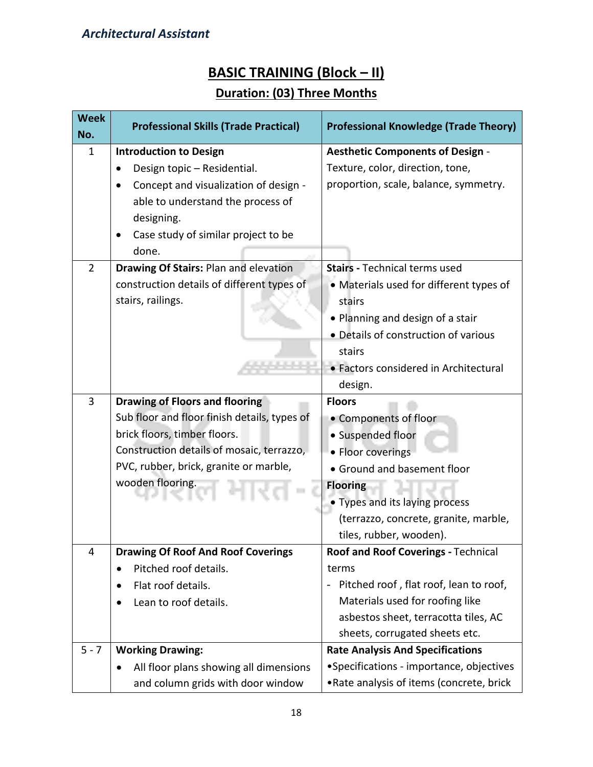# **BASIC TRAINING (Block – II)**

# **Duration: (03) Three Months**

| <b>Week</b><br>No. | <b>Professional Skills (Trade Practical)</b> | <b>Professional Knowledge (Trade Theory)</b>                |
|--------------------|----------------------------------------------|-------------------------------------------------------------|
| $\mathbf{1}$       | <b>Introduction to Design</b>                | <b>Aesthetic Components of Design -</b>                     |
|                    | Design topic - Residential.                  | Texture, color, direction, tone,                            |
|                    | Concept and visualization of design -        | proportion, scale, balance, symmetry.                       |
|                    | able to understand the process of            |                                                             |
|                    | designing.                                   |                                                             |
|                    | Case study of similar project to be          |                                                             |
|                    | done.                                        |                                                             |
| $\overline{2}$     | Drawing Of Stairs: Plan and elevation        | <b>Stairs - Technical terms used</b>                        |
|                    | construction details of different types of   | • Materials used for different types of                     |
|                    | stairs, railings.                            | stairs                                                      |
|                    |                                              | • Planning and design of a stair                            |
|                    |                                              | • Details of construction of various                        |
|                    |                                              | stairs                                                      |
|                    |                                              | • Factors considered in Architectural                       |
|                    |                                              | design.                                                     |
| 3                  | <b>Drawing of Floors and flooring</b>        | <b>Floors</b>                                               |
|                    | Sub floor and floor finish details, types of | • Components of floor                                       |
|                    | brick floors, timber floors.                 | • Suspended floor                                           |
|                    | Construction details of mosaic, terrazzo,    | • Floor coverings                                           |
|                    | PVC, rubber, brick, granite or marble,       | • Ground and basement floor                                 |
|                    | wooden flooring.                             | <b>Flooring</b>                                             |
|                    |                                              | Types and its laying process                                |
|                    |                                              | (terrazzo, concrete, granite, marble,                       |
|                    |                                              | tiles, rubber, wooden).                                     |
| 4                  | <b>Drawing Of Roof And Roof Coverings</b>    | <b>Roof and Roof Coverings - Technical</b>                  |
|                    | Pitched roof details.<br>$\bullet$           | terms                                                       |
|                    | Flat roof details.                           | Pitched roof, flat roof, lean to roof,<br>$\qquad \qquad -$ |
|                    | Lean to roof details.                        | Materials used for roofing like                             |
|                    |                                              | asbestos sheet, terracotta tiles, AC                        |
|                    |                                              | sheets, corrugated sheets etc.                              |
| $5 - 7$            | <b>Working Drawing:</b>                      | <b>Rate Analysis And Specifications</b>                     |
|                    | All floor plans showing all dimensions       | •Specifications - importance, objectives                    |
|                    | and column grids with door window            | .Rate analysis of items (concrete, brick                    |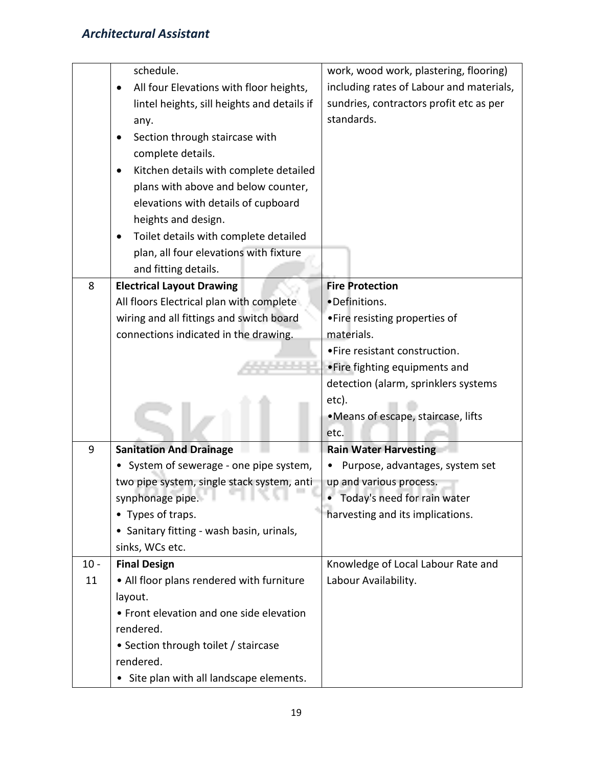|        | schedule.                                   | work, wood work, plastering, flooring)   |
|--------|---------------------------------------------|------------------------------------------|
|        | All four Elevations with floor heights,     | including rates of Labour and materials, |
|        | lintel heights, sill heights and details if | sundries, contractors profit etc as per  |
|        | any.                                        | standards.                               |
|        | Section through staircase with              |                                          |
|        | complete details.                           |                                          |
|        | Kitchen details with complete detailed      |                                          |
|        | plans with above and below counter,         |                                          |
|        | elevations with details of cupboard         |                                          |
|        | heights and design.                         |                                          |
|        | Toilet details with complete detailed       |                                          |
|        | plan, all four elevations with fixture      |                                          |
|        | and fitting details.                        |                                          |
| 8      | <b>Electrical Layout Drawing</b>            | <b>Fire Protection</b>                   |
|        | All floors Electrical plan with complete    | •Definitions.                            |
|        | wiring and all fittings and switch board    | • Fire resisting properties of           |
|        | connections indicated in the drawing.       | materials.                               |
|        |                                             | • Fire resistant construction.           |
|        |                                             | • Fire fighting equipments and           |
|        |                                             | detection (alarm, sprinklers systems     |
|        |                                             | etc).                                    |
|        |                                             | ·Means of escape, staircase, lifts       |
|        |                                             | etc.                                     |
| 9      | <b>Sanitation And Drainage</b>              | <b>Rain Water Harvesting</b>             |
|        | System of sewerage - one pipe system,       | Purpose, advantages, system set          |
|        | two pipe system, single stack system, anti- | up and various process.                  |
|        | synphonage pipe.<br>76 Y.L                  | Today's need for rain water              |
|        | • Types of traps.                           | harvesting and its implications.         |
|        | • Sanitary fitting - wash basin, urinals,   |                                          |
|        | sinks, WCs etc.                             |                                          |
| $10 -$ | <b>Final Design</b>                         | Knowledge of Local Labour Rate and       |
| 11     | • All floor plans rendered with furniture   | Labour Availability.                     |
|        | layout.                                     |                                          |
|        | • Front elevation and one side elevation    |                                          |
|        | rendered.                                   |                                          |
|        | • Section through toilet / staircase        |                                          |
|        | rendered.                                   |                                          |
|        | Site plan with all landscape elements.      |                                          |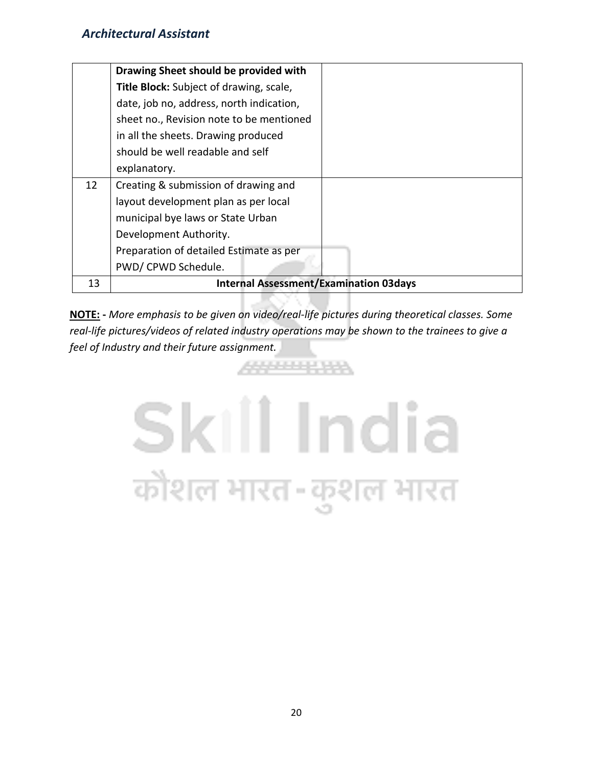|    | Drawing Sheet should be provided with         |
|----|-----------------------------------------------|
|    | Title Block: Subject of drawing, scale,       |
|    | date, job no, address, north indication,      |
|    | sheet no., Revision note to be mentioned      |
|    | in all the sheets. Drawing produced           |
|    | should be well readable and self              |
|    | explanatory.                                  |
| 12 | Creating & submission of drawing and          |
|    | layout development plan as per local          |
|    | municipal bye laws or State Urban             |
|    | Development Authority.                        |
|    | Preparation of detailed Estimate as per       |
|    | PWD/ CPWD Schedule.                           |
| 13 | <b>Internal Assessment/Examination 03days</b> |

**NOTE: -** *More emphasis to be given on video/real-life pictures during theoretical classes. Some real-life pictures/videos of related industry operations may be shown to the trainees to give a feel of Industry and their future assignment.*

ARPENDENSA

DAYS 1-1

# Skill India कौशल भारत-कुशल भारत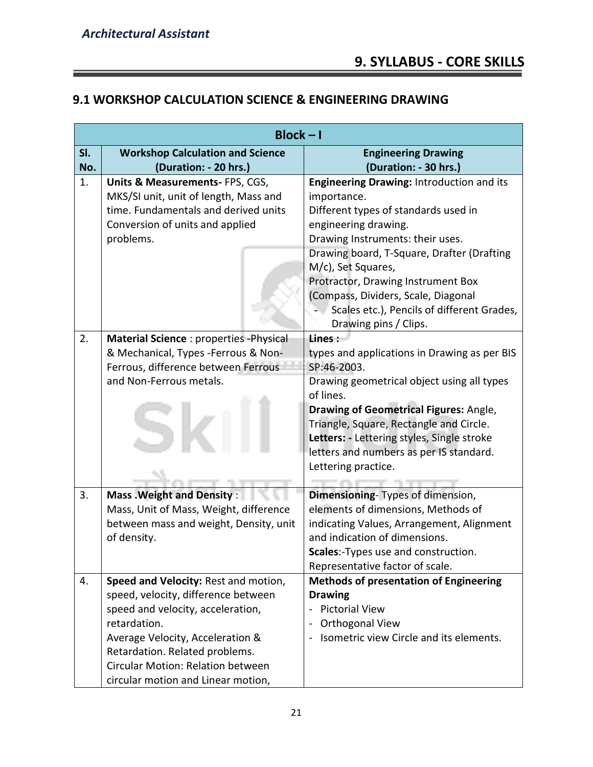$\equiv$ 

# **9.1 WORKSHOP CALCULATION SCIENCE & ENGINEERING DRAWING**

|     | $Block - I$                                       |                                                                         |
|-----|---------------------------------------------------|-------------------------------------------------------------------------|
| SI. | <b>Workshop Calculation and Science</b>           | <b>Engineering Drawing</b>                                              |
| No. | (Duration: - 20 hrs.)                             | (Duration: - 30 hrs.)                                                   |
| 1.  | Units & Measurements-FPS, CGS,                    | Engineering Drawing: Introduction and its                               |
|     | MKS/SI unit, unit of length, Mass and             | importance.                                                             |
|     | time. Fundamentals and derived units              | Different types of standards used in                                    |
|     | Conversion of units and applied                   | engineering drawing.                                                    |
|     | problems.                                         | Drawing Instruments: their uses.                                        |
|     |                                                   | Drawing board, T-Square, Drafter (Drafting<br>M/c), Set Squares,        |
|     |                                                   | Protractor, Drawing Instrument Box                                      |
|     |                                                   | (Compass, Dividers, Scale, Diagonal                                     |
|     |                                                   | Scales etc.), Pencils of different Grades,                              |
|     |                                                   | Drawing pins / Clips.                                                   |
| 2.  | Material Science : properties - Physical          | Lines:                                                                  |
|     | & Mechanical, Types -Ferrous & Non-               | types and applications in Drawing as per BIS                            |
|     | Ferrous, difference between Ferrous               | SP:46-2003.                                                             |
|     | and Non-Ferrous metals.                           | Drawing geometrical object using all types                              |
|     |                                                   | of lines.                                                               |
|     |                                                   | <b>Drawing of Geometrical Figures: Angle,</b>                           |
|     |                                                   | Triangle, Square, Rectangle and Circle.                                 |
|     |                                                   | Letters: - Lettering styles, Single stroke                              |
|     |                                                   | letters and numbers as per IS standard.                                 |
|     |                                                   | Lettering practice.                                                     |
|     |                                                   |                                                                         |
| 3.  | <b>Mass . Weight and Density:</b>                 | Dimensioning- Types of dimension,                                       |
|     | Mass, Unit of Mass, Weight, difference            | elements of dimensions, Methods of                                      |
|     | between mass and weight, Density, unit            | indicating Values, Arrangement, Alignment                               |
|     | of density.                                       | and indication of dimensions.                                           |
|     |                                                   | Scales:-Types use and construction.                                     |
|     |                                                   | Representative factor of scale.                                         |
| 4.  | Speed and Velocity: Rest and motion,              | <b>Methods of presentation of Engineering</b>                           |
|     | speed, velocity, difference between               | <b>Drawing</b><br><b>Pictorial View</b><br>$\qquad \qquad \blacksquare$ |
|     | speed and velocity, acceleration,<br>retardation. |                                                                         |
|     | Average Velocity, Acceleration &                  | Orthogonal View<br>Isometric view Circle and its elements.              |
|     | Retardation. Related problems.                    |                                                                         |
|     | Circular Motion: Relation between                 |                                                                         |
|     |                                                   |                                                                         |
|     | circular motion and Linear motion,                |                                                                         |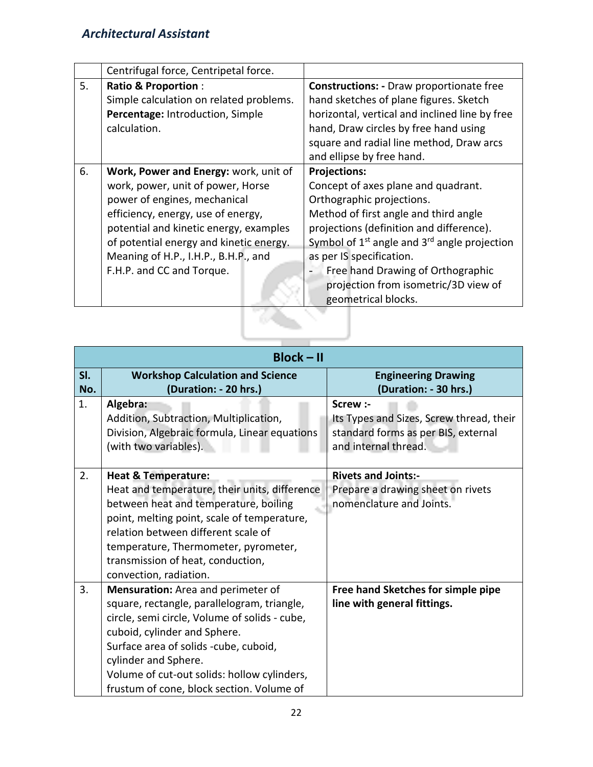|    | Centrifugal force, Centripetal force.   |                                                        |
|----|-----------------------------------------|--------------------------------------------------------|
| 5. | <b>Ratio &amp; Proportion:</b>          | <b>Constructions:</b> - Draw proportionate free        |
|    | Simple calculation on related problems. | hand sketches of plane figures. Sketch                 |
|    | Percentage: Introduction, Simple        | horizontal, vertical and inclined line by free         |
|    | calculation.                            | hand, Draw circles by free hand using                  |
|    |                                         | square and radial line method, Draw arcs               |
|    |                                         | and ellipse by free hand.                              |
| 6. | Work, Power and Energy: work, unit of   | <b>Projections:</b>                                    |
|    | work, power, unit of power, Horse       | Concept of axes plane and quadrant.                    |
|    | power of engines, mechanical            | Orthographic projections.                              |
|    | efficiency, energy, use of energy,      | Method of first angle and third angle                  |
|    | potential and kinetic energy, examples  | projections (definition and difference).               |
|    | of potential energy and kinetic energy. | Symbol of $1^{st}$ angle and $3^{rd}$ angle projection |
|    | Meaning of H.P., I.H.P., B.H.P., and    | as per IS specification.                               |
|    | F.H.P. and CC and Torque.               | Free hand Drawing of Orthographic                      |
|    |                                         | projection from isometric/3D view of                   |
|    |                                         | geometrical blocks.                                    |
|    |                                         |                                                        |

|            | $Block - II$                                                                                                                                                                                                                                                                                                                    |                                                                                                                     |
|------------|---------------------------------------------------------------------------------------------------------------------------------------------------------------------------------------------------------------------------------------------------------------------------------------------------------------------------------|---------------------------------------------------------------------------------------------------------------------|
| SI.<br>No. | <b>Workshop Calculation and Science</b><br>(Duration: - 20 hrs.)                                                                                                                                                                                                                                                                | <b>Engineering Drawing</b><br>(Duration: - 30 hrs.)                                                                 |
| 1.         | Algebra:<br>Addition, Subtraction, Multiplication,<br>Division, Algebraic formula, Linear equations<br>(with two variables).                                                                                                                                                                                                    | Screw :-<br>Its Types and Sizes, Screw thread, their<br>standard forms as per BIS, external<br>and internal thread. |
| 2.         | <b>Heat &amp; Temperature:</b><br>Heat and temperature, their units, difference<br>between heat and temperature, boiling<br>point, melting point, scale of temperature,<br>relation between different scale of<br>temperature, Thermometer, pyrometer,<br>transmission of heat, conduction,<br>convection, radiation.           | <b>Rivets and Joints:-</b><br>Prepare a drawing sheet on rivets<br>nomenclature and Joints.                         |
| 3.         | Mensuration: Area and perimeter of<br>square, rectangle, parallelogram, triangle,<br>circle, semi circle, Volume of solids - cube,<br>cuboid, cylinder and Sphere.<br>Surface area of solids -cube, cuboid,<br>cylinder and Sphere.<br>Volume of cut-out solids: hollow cylinders,<br>frustum of cone, block section. Volume of | Free hand Sketches for simple pipe<br>line with general fittings.                                                   |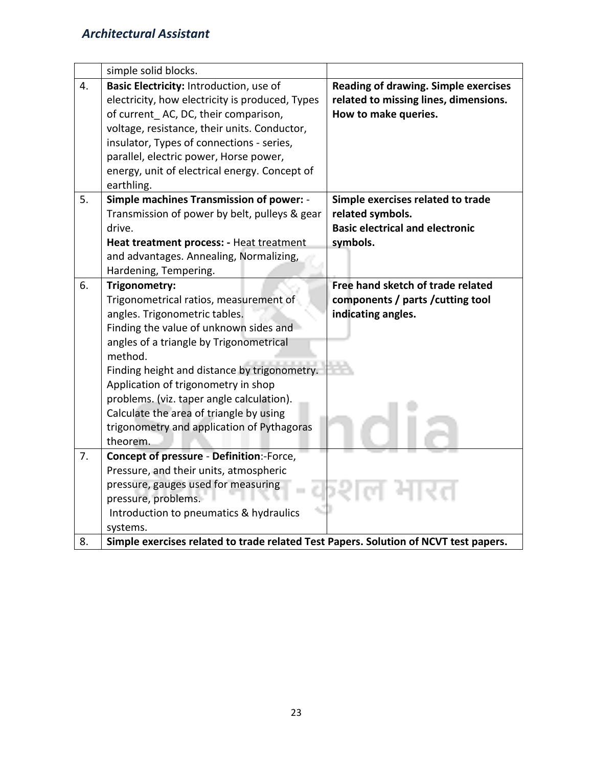|    | simple solid blocks.                                                                                                                                                                 |                                                                                                              |
|----|--------------------------------------------------------------------------------------------------------------------------------------------------------------------------------------|--------------------------------------------------------------------------------------------------------------|
| 4. | Basic Electricity: Introduction, use of<br>electricity, how electricity is produced, Types<br>of current AC, DC, their comparison,                                                   | <b>Reading of drawing. Simple exercises</b><br>related to missing lines, dimensions.<br>How to make queries. |
|    | voltage, resistance, their units. Conductor,<br>insulator, Types of connections - series,<br>parallel, electric power, Horse power,<br>energy, unit of electrical energy. Concept of |                                                                                                              |
|    | earthling.                                                                                                                                                                           |                                                                                                              |
| 5. | Simple machines Transmission of power: -<br>Transmission of power by belt, pulleys & gear                                                                                            | Simple exercises related to trade<br>related symbols.                                                        |
|    | drive.                                                                                                                                                                               | <b>Basic electrical and electronic</b>                                                                       |
|    | Heat treatment process: - Heat treatment                                                                                                                                             | symbols.                                                                                                     |
|    | and advantages. Annealing, Normalizing,                                                                                                                                              |                                                                                                              |
|    | Hardening, Tempering.                                                                                                                                                                |                                                                                                              |
| 6. | Trigonometry:                                                                                                                                                                        | Free hand sketch of trade related                                                                            |
|    | Trigonometrical ratios, measurement of<br>angles. Trigonometric tables.                                                                                                              | components / parts / cutting tool<br>indicating angles.                                                      |
|    | Finding the value of unknown sides and                                                                                                                                               |                                                                                                              |
|    | angles of a triangle by Trigonometrical                                                                                                                                              |                                                                                                              |
|    | method.                                                                                                                                                                              |                                                                                                              |
|    | Finding height and distance by trigonometry.                                                                                                                                         |                                                                                                              |
|    | Application of trigonometry in shop                                                                                                                                                  |                                                                                                              |
|    | problems. (viz. taper angle calculation).                                                                                                                                            |                                                                                                              |
|    | Calculate the area of triangle by using                                                                                                                                              |                                                                                                              |
|    | trigonometry and application of Pythagoras                                                                                                                                           |                                                                                                              |
| 7. | theorem.<br><b>Concept of pressure - Definition:-Force,</b>                                                                                                                          |                                                                                                              |
|    | Pressure, and their units, atmospheric                                                                                                                                               |                                                                                                              |
|    | pressure, gauges used for measuring                                                                                                                                                  |                                                                                                              |
|    | pressure, problems.                                                                                                                                                                  |                                                                                                              |
|    | Introduction to pneumatics & hydraulics                                                                                                                                              |                                                                                                              |
|    | systems.                                                                                                                                                                             |                                                                                                              |
| 8. | Simple exercises related to trade related Test Papers. Solution of NCVT test papers.                                                                                                 |                                                                                                              |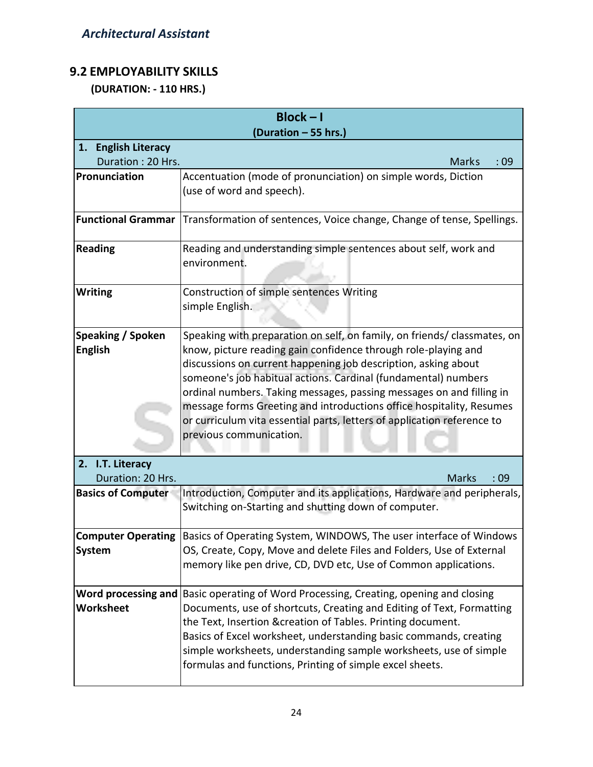# **9.2 EMPLOYABILITY SKILLS**

 **(DURATION: - 110 HRS.)**

|                                       | $Block - I$<br>(Duration - 55 hrs.)                                                                                                                                                                                                                                                                                                                                                                                                                                                                                                  |              |     |
|---------------------------------------|--------------------------------------------------------------------------------------------------------------------------------------------------------------------------------------------------------------------------------------------------------------------------------------------------------------------------------------------------------------------------------------------------------------------------------------------------------------------------------------------------------------------------------------|--------------|-----|
| 1. English Literacy                   |                                                                                                                                                                                                                                                                                                                                                                                                                                                                                                                                      |              |     |
| Duration: 20 Hrs.                     |                                                                                                                                                                                                                                                                                                                                                                                                                                                                                                                                      | <b>Marks</b> | :09 |
| Pronunciation                         | Accentuation (mode of pronunciation) on simple words, Diction<br>(use of word and speech).                                                                                                                                                                                                                                                                                                                                                                                                                                           |              |     |
| <b>Functional Grammar</b>             | Transformation of sentences, Voice change, Change of tense, Spellings.                                                                                                                                                                                                                                                                                                                                                                                                                                                               |              |     |
| <b>Reading</b>                        | Reading and understanding simple sentences about self, work and<br>environment.                                                                                                                                                                                                                                                                                                                                                                                                                                                      |              |     |
| <b>Writing</b>                        | Construction of simple sentences Writing<br>simple English.                                                                                                                                                                                                                                                                                                                                                                                                                                                                          |              |     |
| Speaking / Spoken<br><b>English</b>   | Speaking with preparation on self, on family, on friends/ classmates, on<br>know, picture reading gain confidence through role-playing and<br>discussions on current happening job description, asking about<br>someone's job habitual actions. Cardinal (fundamental) numbers<br>ordinal numbers. Taking messages, passing messages on and filling in<br>message forms Greeting and introductions office hospitality, Resumes<br>or curriculum vita essential parts, letters of application reference to<br>previous communication. |              |     |
| 2. I.T. Literacy<br>Duration: 20 Hrs. |                                                                                                                                                                                                                                                                                                                                                                                                                                                                                                                                      | <b>Marks</b> | :09 |
| <b>Basics of Computer</b>             | Introduction, Computer and its applications, Hardware and peripherals,<br>Switching on-Starting and shutting down of computer.                                                                                                                                                                                                                                                                                                                                                                                                       |              |     |
| <b>System</b>                         | <b>Computer Operating Basics of Operating System, WINDOWS, The user interface of Windows</b><br>OS, Create, Copy, Move and delete Files and Folders, Use of External<br>memory like pen drive, CD, DVD etc, Use of Common applications.                                                                                                                                                                                                                                                                                              |              |     |
| Worksheet                             | Word processing and Basic operating of Word Processing, Creating, opening and closing<br>Documents, use of shortcuts, Creating and Editing of Text, Formatting<br>the Text, Insertion &creation of Tables. Printing document.<br>Basics of Excel worksheet, understanding basic commands, creating<br>simple worksheets, understanding sample worksheets, use of simple<br>formulas and functions, Printing of simple excel sheets.                                                                                                  |              |     |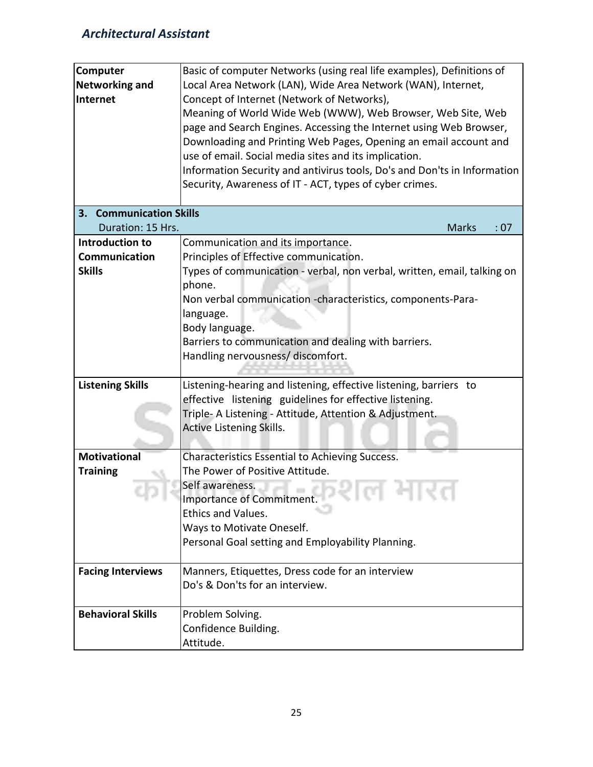| <b>Computer</b><br><b>Networking and</b><br>Internet | Basic of computer Networks (using real life examples), Definitions of<br>Local Area Network (LAN), Wide Area Network (WAN), Internet,<br>Concept of Internet (Network of Networks),<br>Meaning of World Wide Web (WWW), Web Browser, Web Site, Web<br>page and Search Engines. Accessing the Internet using Web Browser,<br>Downloading and Printing Web Pages, Opening an email account and<br>use of email. Social media sites and its implication. |
|------------------------------------------------------|-------------------------------------------------------------------------------------------------------------------------------------------------------------------------------------------------------------------------------------------------------------------------------------------------------------------------------------------------------------------------------------------------------------------------------------------------------|
|                                                      | Information Security and antivirus tools, Do's and Don'ts in Information<br>Security, Awareness of IT - ACT, types of cyber crimes.                                                                                                                                                                                                                                                                                                                   |
| 3. Communication Skills                              |                                                                                                                                                                                                                                                                                                                                                                                                                                                       |
| Duration: 15 Hrs.                                    | <b>Marks</b><br>: 07                                                                                                                                                                                                                                                                                                                                                                                                                                  |
| Introduction to                                      | Communication and its importance.                                                                                                                                                                                                                                                                                                                                                                                                                     |
| Communication                                        | Principles of Effective communication.                                                                                                                                                                                                                                                                                                                                                                                                                |
| <b>Skills</b>                                        | Types of communication - verbal, non verbal, written, email, talking on<br>phone.<br>Non verbal communication -characteristics, components-Para-                                                                                                                                                                                                                                                                                                      |
|                                                      | language.                                                                                                                                                                                                                                                                                                                                                                                                                                             |
|                                                      | Body language.                                                                                                                                                                                                                                                                                                                                                                                                                                        |
|                                                      | Barriers to communication and dealing with barriers.                                                                                                                                                                                                                                                                                                                                                                                                  |
|                                                      | Handling nervousness/ discomfort.                                                                                                                                                                                                                                                                                                                                                                                                                     |
|                                                      |                                                                                                                                                                                                                                                                                                                                                                                                                                                       |
| <b>Listening Skills</b>                              | Listening-hearing and listening, effective listening, barriers to                                                                                                                                                                                                                                                                                                                                                                                     |
|                                                      | effective listening guidelines for effective listening.                                                                                                                                                                                                                                                                                                                                                                                               |
|                                                      | Triple- A Listening - Attitude, Attention & Adjustment.                                                                                                                                                                                                                                                                                                                                                                                               |
|                                                      | <b>Active Listening Skills.</b>                                                                                                                                                                                                                                                                                                                                                                                                                       |
|                                                      |                                                                                                                                                                                                                                                                                                                                                                                                                                                       |
| <b>Motivational</b>                                  | Characteristics Essential to Achieving Success.                                                                                                                                                                                                                                                                                                                                                                                                       |
| <b>Training</b>                                      | The Power of Positive Attitude.                                                                                                                                                                                                                                                                                                                                                                                                                       |
|                                                      | Self awareness.                                                                                                                                                                                                                                                                                                                                                                                                                                       |
|                                                      | Importance of Commitment.<br>6 N.H.V                                                                                                                                                                                                                                                                                                                                                                                                                  |
|                                                      | Ethics and Values.                                                                                                                                                                                                                                                                                                                                                                                                                                    |
|                                                      | Ways to Motivate Oneself.                                                                                                                                                                                                                                                                                                                                                                                                                             |
|                                                      | Personal Goal setting and Employability Planning.                                                                                                                                                                                                                                                                                                                                                                                                     |
|                                                      |                                                                                                                                                                                                                                                                                                                                                                                                                                                       |
| <b>Facing Interviews</b>                             | Manners, Etiquettes, Dress code for an interview                                                                                                                                                                                                                                                                                                                                                                                                      |
|                                                      | Do's & Don'ts for an interview.                                                                                                                                                                                                                                                                                                                                                                                                                       |
| <b>Behavioral Skills</b>                             | Problem Solving.                                                                                                                                                                                                                                                                                                                                                                                                                                      |
|                                                      | Confidence Building.                                                                                                                                                                                                                                                                                                                                                                                                                                  |
|                                                      | Attitude.                                                                                                                                                                                                                                                                                                                                                                                                                                             |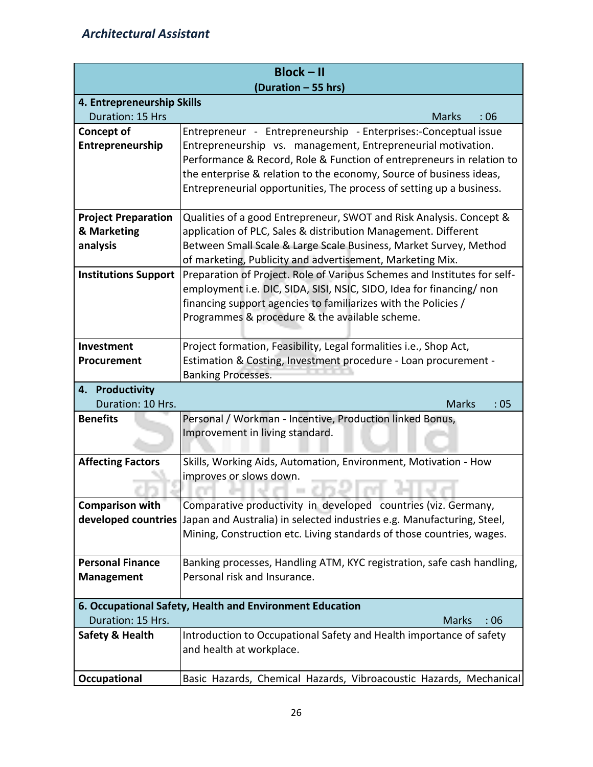|                                | $Block - II$                                                                                                                    |
|--------------------------------|---------------------------------------------------------------------------------------------------------------------------------|
|                                | (Duration - 55 hrs)                                                                                                             |
| 4. Entrepreneurship Skills     |                                                                                                                                 |
| Duration: 15 Hrs               | <b>Marks</b><br>:06                                                                                                             |
| Concept of<br>Entrepreneurship | Entrepreneur - Entrepreneurship - Enterprises:-Conceptual issue<br>Entrepreneurship vs. management, Entrepreneurial motivation. |
|                                | Performance & Record, Role & Function of entrepreneurs in relation to                                                           |
|                                | the enterprise & relation to the economy, Source of business ideas,                                                             |
|                                | Entrepreneurial opportunities, The process of setting up a business.                                                            |
|                                |                                                                                                                                 |
| <b>Project Preparation</b>     | Qualities of a good Entrepreneur, SWOT and Risk Analysis. Concept &                                                             |
| & Marketing                    | application of PLC, Sales & distribution Management. Different                                                                  |
| analysis                       | Between Small Scale & Large Scale Business, Market Survey, Method                                                               |
|                                | of marketing, Publicity and advertisement, Marketing Mix.                                                                       |
| <b>Institutions Support</b>    | Preparation of Project. Role of Various Schemes and Institutes for self-                                                        |
|                                | employment i.e. DIC, SIDA, SISI, NSIC, SIDO, Idea for financing/ non                                                            |
|                                | financing support agencies to familiarizes with the Policies /                                                                  |
|                                | Programmes & procedure & the available scheme.                                                                                  |
| Investment                     | Project formation, Feasibility, Legal formalities i.e., Shop Act,                                                               |
| Procurement                    | Estimation & Costing, Investment procedure - Loan procurement -                                                                 |
|                                | <b>Banking Processes.</b>                                                                                                       |
| 4. Productivity                |                                                                                                                                 |
| Duration: 10 Hrs.              | <b>Marks</b><br>:05                                                                                                             |
| <b>Benefits</b>                | Personal / Workman - Incentive, Production linked Bonus,                                                                        |
|                                | Improvement in living standard.                                                                                                 |
|                                |                                                                                                                                 |
| <b>Affecting Factors</b>       | Skills, Working Aids, Automation, Environment, Motivation - How                                                                 |
|                                | improves or slows down.                                                                                                         |
|                                |                                                                                                                                 |
| <b>Comparison with</b>         | Comparative productivity in developed countries (viz. Germany,                                                                  |
| developed countries            | Japan and Australia) in selected industries e.g. Manufacturing, Steel,                                                          |
|                                | Mining, Construction etc. Living standards of those countries, wages.                                                           |
| <b>Personal Finance</b>        | Banking processes, Handling ATM, KYC registration, safe cash handling,                                                          |
| <b>Management</b>              | Personal risk and Insurance.                                                                                                    |
|                                |                                                                                                                                 |
|                                | 6. Occupational Safety, Health and Environment Education                                                                        |
| Duration: 15 Hrs.              | <b>Marks</b><br>:06                                                                                                             |
| <b>Safety &amp; Health</b>     | Introduction to Occupational Safety and Health importance of safety                                                             |
|                                | and health at workplace.                                                                                                        |
|                                |                                                                                                                                 |
| Occupational                   | Basic Hazards, Chemical Hazards, Vibroacoustic Hazards, Mechanical                                                              |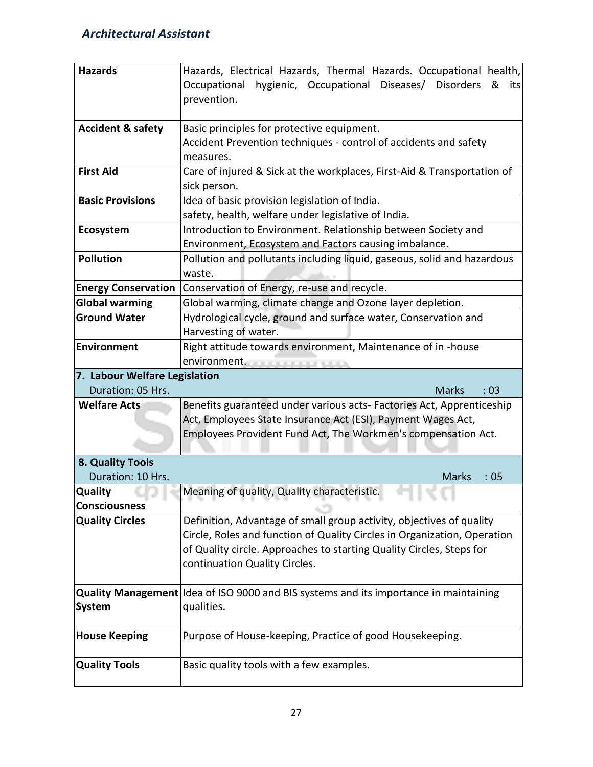| <b>Hazards</b>                | Hazards, Electrical Hazards, Thermal Hazards. Occupational health,<br>hygienic, Occupational<br>Diseases/<br><b>Disorders</b><br>Occupational<br>&<br>its<br>prevention. |
|-------------------------------|--------------------------------------------------------------------------------------------------------------------------------------------------------------------------|
| <b>Accident &amp; safety</b>  | Basic principles for protective equipment.<br>Accident Prevention techniques - control of accidents and safety<br>measures.                                              |
| <b>First Aid</b>              | Care of injured & Sick at the workplaces, First-Aid & Transportation of<br>sick person.                                                                                  |
| <b>Basic Provisions</b>       | Idea of basic provision legislation of India.<br>safety, health, welfare under legislative of India.                                                                     |
| Ecosystem                     | Introduction to Environment. Relationship between Society and<br>Environment, Ecosystem and Factors causing imbalance.                                                   |
| Pollution                     | Pollution and pollutants including liquid, gaseous, solid and hazardous<br>waste.                                                                                        |
| <b>Energy Conservation</b>    | Conservation of Energy, re-use and recycle.                                                                                                                              |
| <b>Global warming</b>         | Global warming, climate change and Ozone layer depletion.                                                                                                                |
| <b>Ground Water</b>           | Hydrological cycle, ground and surface water, Conservation and                                                                                                           |
|                               | Harvesting of water.                                                                                                                                                     |
| <b>Environment</b>            | Right attitude towards environment, Maintenance of in -house                                                                                                             |
|                               | environment.                                                                                                                                                             |
|                               |                                                                                                                                                                          |
| 7. Labour Welfare Legislation |                                                                                                                                                                          |
| Duration: 05 Hrs.             | :03<br><b>Marks</b>                                                                                                                                                      |
| <b>Welfare Acts</b>           | Benefits guaranteed under various acts- Factories Act, Apprenticeship                                                                                                    |
|                               | Act, Employees State Insurance Act (ESI), Payment Wages Act,                                                                                                             |
|                               | Employees Provident Fund Act, The Workmen's compensation Act.                                                                                                            |
| 8. Quality Tools              |                                                                                                                                                                          |
| Duration: 10 Hrs.             | <b>Marks</b><br>:05                                                                                                                                                      |
| <b>Quality</b>                | Meaning of quality, Quality characteristic.                                                                                                                              |
| <b>Consciousness</b>          |                                                                                                                                                                          |
| <b>Quality Circles</b>        | Definition, Advantage of small group activity, objectives of quality                                                                                                     |
|                               | Circle, Roles and function of Quality Circles in Organization, Operation                                                                                                 |
|                               | of Quality circle. Approaches to starting Quality Circles, Steps for                                                                                                     |
|                               | continuation Quality Circles.                                                                                                                                            |
|                               |                                                                                                                                                                          |
| <b>System</b>                 | Quality Management Idea of ISO 9000 and BIS systems and its importance in maintaining<br>qualities.                                                                      |
| <b>House Keeping</b>          | Purpose of House-keeping, Practice of good Housekeeping.                                                                                                                 |
| <b>Quality Tools</b>          | Basic quality tools with a few examples.                                                                                                                                 |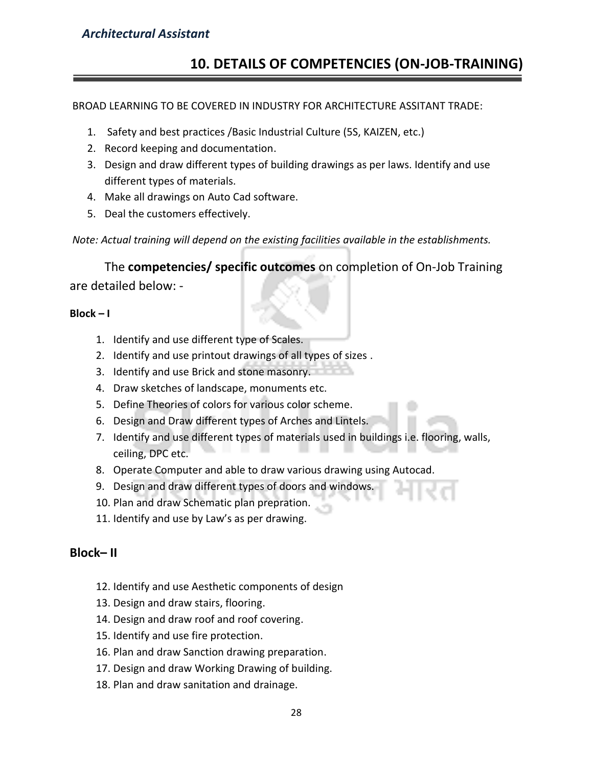# **10. DETAILS OF COMPETENCIES (ON-JOB-TRAINING)**

#### BROAD LEARNING TO BE COVERED IN INDUSTRY FOR ARCHITECTURE ASSITANT TRADE:

- 1. Safety and best practices /Basic Industrial Culture (5S, KAIZEN, etc.)
- 2. Record keeping and documentation.
- 3. Design and draw different types of building drawings as per laws. Identify and use different types of materials.
- 4. Make all drawings on Auto Cad software.
- 5. Deal the customers effectively.

*Note: Actual training will depend on the existing facilities available in the establishments.*

The **competencies/ specific outcomes** on completion of On-Job Training are detailed below: -

#### **Block – I**

- 1. Identify and use different type of Scales.
- 2. Identify and use printout drawings of all types of sizes .
- 3. Identify and use Brick and stone masonry.
- 4. Draw sketches of landscape, monuments etc.
- 5. Define Theories of colors for various color scheme.
- 6. Design and Draw different types of Arches and Lintels.
- 7. Identify and use different types of materials used in buildings i.e. flooring, walls, ceiling, DPC etc.
- 8. Operate Computer and able to draw various drawing using Autocad.
- 9. Design and draw different types of doors and windows.
- 10. Plan and draw Schematic plan prepration.
- 11. Identify and use by Law's as per drawing.

# **Block– II**

- 12. Identify and use Aesthetic components of design
- 13. Design and draw stairs, flooring.
- 14. Design and draw roof and roof covering.
- 15. Identify and use fire protection.
- 16. Plan and draw Sanction drawing preparation.
- 17. Design and draw Working Drawing of building.
- 18. Plan and draw sanitation and drainage.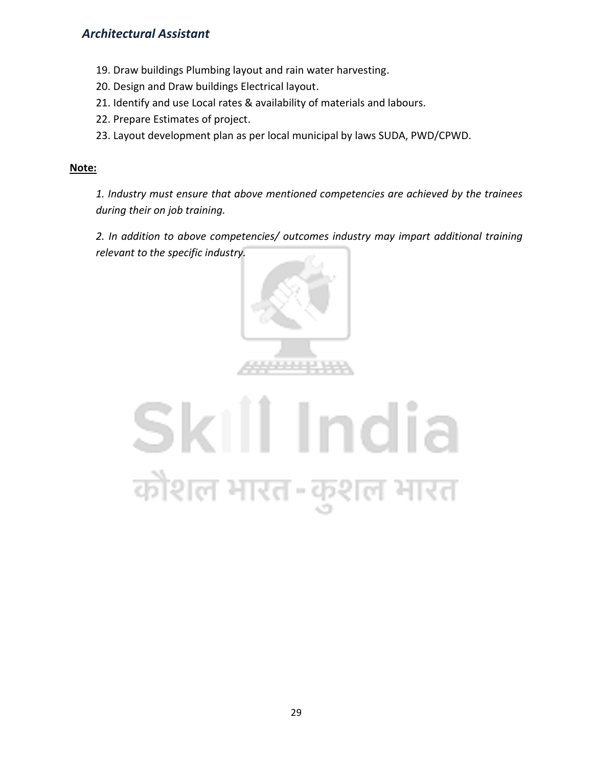- 19. Draw buildings Plumbing layout and rain water harvesting.
- 20. Design and Draw buildings Electrical layout.
- 21. Identify and use Local rates & availability of materials and labours.
- 22. Prepare Estimates of project.
- 23. Layout development plan as per local municipal by laws SUDA, PWD/CPWD.

#### **Note:**

*1. Industry must ensure that above mentioned competencies are achieved by the trainees during their on job training.*

*2. In addition to above competencies/ outcomes industry may impart additional training relevant to the specific industry.*



# Skill India कोशल भारत-कुशल भारत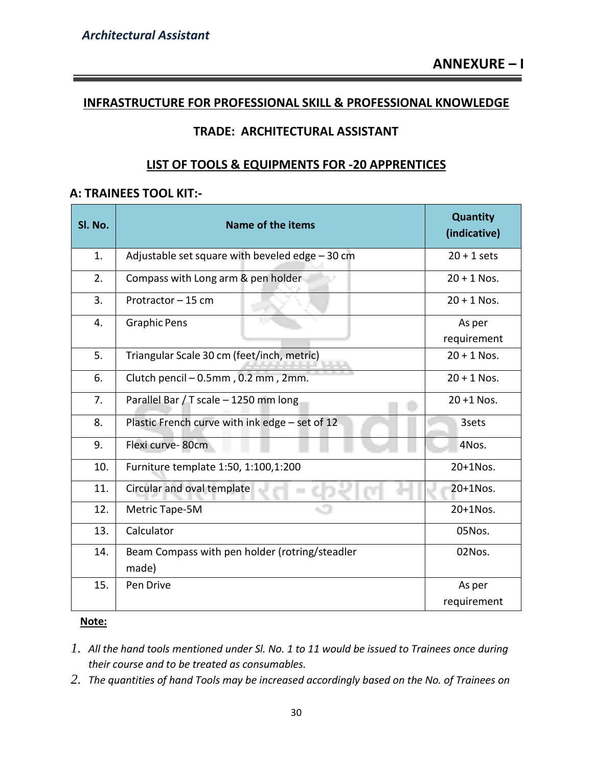## **INFRASTRUCTURE FOR PROFESSIONAL SKILL & PROFESSIONAL KNOWLEDGE**

# **TRADE: ARCHITECTURAL ASSISTANT**

# **LIST OF TOOLS & EQUIPMENTS FOR -20 APPRENTICES**

## **A: TRAINEES TOOL KIT:-**

| Sl. No. | <b>Name of the items</b>                                | Quantity<br>(indicative) |  |  |  |  |
|---------|---------------------------------------------------------|--------------------------|--|--|--|--|
| 1.      | Adjustable set square with beveled edge - 30 cm         | $20 + 1$ sets            |  |  |  |  |
| 2.      | Compass with Long arm & pen holder.                     | $20 + 1$ Nos.            |  |  |  |  |
| 3.      | Protractor - 15 cm                                      | $20 + 1$ Nos.            |  |  |  |  |
| 4.      | <b>Graphic Pens</b>                                     | As per<br>requirement    |  |  |  |  |
| 5.      | Triangular Scale 30 cm (feet/inch, metric)              | $20 + 1$ Nos.            |  |  |  |  |
| 6.      | Clutch pencil - 0.5mm, 0.2 mm, 2mm.                     | $20 + 1$ Nos.            |  |  |  |  |
| 7.      | Parallel Bar / T scale - 1250 mm long                   | $20 + 1$ Nos.            |  |  |  |  |
| 8.      | Plastic French curve with ink edge - set of 12          | 3sets                    |  |  |  |  |
| 9.      | Flexi curve-80cm                                        | 4Nos.                    |  |  |  |  |
| 10.     | Furniture template 1:50, 1:100, 1:200                   | 20+1Nos.                 |  |  |  |  |
| 11.     | Circular and oval template<br>i i                       | 20+1Nos.                 |  |  |  |  |
| 12.     | Metric Tape-5M                                          | 20+1Nos.                 |  |  |  |  |
| 13.     | Calculator                                              | 05Nos.                   |  |  |  |  |
| 14.     | Beam Compass with pen holder (rotring/steadler<br>made) | 02Nos.                   |  |  |  |  |
| 15.     | Pen Drive                                               | As per                   |  |  |  |  |
|         |                                                         | requirement              |  |  |  |  |

#### **Note:**

- *1. All the hand tools mentioned under Sl. No. 1 to 11 would be issued to Trainees once during their course and to be treated as consumables.*
- *2. The quantities of hand Tools may be increased accordingly based on the No. of Trainees on*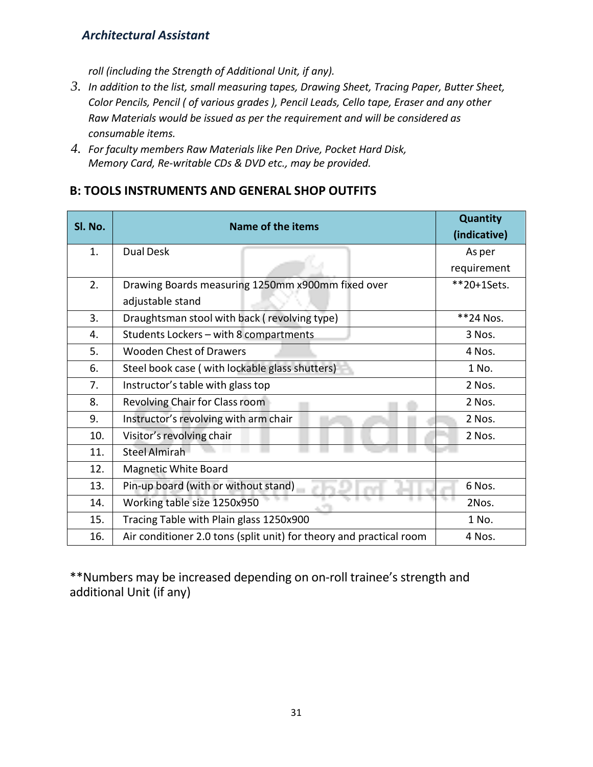*roll (including the Strength of Additional Unit, if any).*

- *3. In addition to the list, small measuring tapes, Drawing Sheet, Tracing Paper, Butter Sheet, Color Pencils, Pencil ( of various grades ), Pencil Leads, Cello tape, Eraser and any other Raw Materials would be issued as per the requirement and will be considered as consumable items.*
- *4. For faculty members Raw Materials like Pen Drive, Pocket Hard Disk, Memory Card, Re-writable CDs & DVD etc., may be provided.*

# **B: TOOLS INSTRUMENTS AND GENERAL SHOP OUTFITS**

| SI. No. | <b>Name of the items</b>                                            | Quantity<br>(indicative) |  |  |  |
|---------|---------------------------------------------------------------------|--------------------------|--|--|--|
| 1.      | <b>Dual Desk</b>                                                    | As per                   |  |  |  |
|         |                                                                     | requirement              |  |  |  |
| 2.      | Drawing Boards measuring 1250mm x900mm fixed over                   | **20+1Sets.              |  |  |  |
|         | adjustable stand                                                    |                          |  |  |  |
| 3.      | Draughtsman stool with back (revolving type)                        | **24 Nos.                |  |  |  |
| 4.      | Students Lockers - with 8 compartments                              | 3 Nos.                   |  |  |  |
| 5.      | <b>Wooden Chest of Drawers</b>                                      | 4 Nos.                   |  |  |  |
| 6.      | Steel book case (with lockable glass shutters)                      | 1 No.                    |  |  |  |
| 7.      | Instructor's table with glass top                                   | 2 Nos.                   |  |  |  |
| 8.      | Revolving Chair for Class room                                      | 2 Nos.                   |  |  |  |
| 9.      | Instructor's revolving with arm chair                               | 2 Nos.                   |  |  |  |
| 10.     | Visitor's revolving chair                                           | 2 Nos.                   |  |  |  |
| 11.     | <b>Steel Almirah</b>                                                |                          |  |  |  |
| 12.     | Magnetic White Board                                                |                          |  |  |  |
| 13.     | Pin-up board (with or without stand)                                | 6 Nos.                   |  |  |  |
| 14.     | Working table size 1250x950                                         | 2Nos.                    |  |  |  |
| 15.     | Tracing Table with Plain glass 1250x900                             | 1 No.                    |  |  |  |
| 16.     | Air conditioner 2.0 tons (split unit) for theory and practical room | 4 Nos.                   |  |  |  |

\*\*Numbers may be increased depending on on-roll trainee's strength and additional Unit (if any)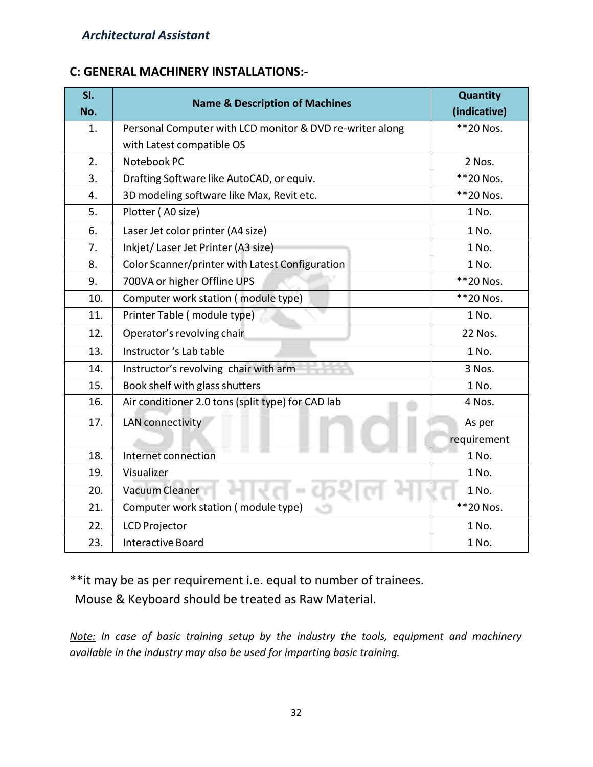# **C: GENERAL MACHINERY INSTALLATIONS:-**

| SI.<br>No. | <b>Name &amp; Description of Machines</b>                | Quantity<br>(indicative) |  |  |  |  |
|------------|----------------------------------------------------------|--------------------------|--|--|--|--|
| 1.         | Personal Computer with LCD monitor & DVD re-writer along | **20 Nos.                |  |  |  |  |
|            | with Latest compatible OS                                |                          |  |  |  |  |
| 2.         | Notebook PC                                              | 2 Nos.                   |  |  |  |  |
| 3.         | Drafting Software like AutoCAD, or equiv.                | **20 Nos.                |  |  |  |  |
| 4.         | 3D modeling software like Max, Revit etc.                | **20 Nos.                |  |  |  |  |
| 5.         | Plotter (A0 size)                                        | 1 No.                    |  |  |  |  |
| 6.         | Laser Jet color printer (A4 size)                        | 1 No.                    |  |  |  |  |
| 7.         | Inkjet/Laser Jet Printer (A3 size)                       | 1 No.                    |  |  |  |  |
| 8.         | Color Scanner/printer with Latest Configuration          | 1 No.                    |  |  |  |  |
| 9.         | 700VA or higher Offline UPS                              | **20 Nos.                |  |  |  |  |
| 10.        | Computer work station (module type)                      | **20 Nos.                |  |  |  |  |
| 11.        | Printer Table (module type)                              | 1 No.                    |  |  |  |  |
| 12.        | Operator's revolving chair                               | 22 Nos.                  |  |  |  |  |
| 13.        | Instructor 's Lab table                                  | 1 No.                    |  |  |  |  |
| 14.        | Instructor's revolving chair with arm                    | 3 Nos.                   |  |  |  |  |
| 15.        | Book shelf with glass shutters                           | 1 No.                    |  |  |  |  |
| 16.        | Air conditioner 2.0 tons (split type) for CAD lab        | 4 Nos.                   |  |  |  |  |
| 17.        | <b>LAN</b> connectivity                                  | As per                   |  |  |  |  |
|            |                                                          | requirement              |  |  |  |  |
| 18.        | Internet connection                                      | 1 No.                    |  |  |  |  |
| 19.        | Visualizer                                               | 1 No.                    |  |  |  |  |
| 20.        | Vacuum Cleaner<br>i.                                     | 1 No.                    |  |  |  |  |
| 21.        | Computer work station (module type)<br>сŌ                | **20 Nos.                |  |  |  |  |
| 22.        | <b>LCD Projector</b>                                     | 1 No.                    |  |  |  |  |
| 23.        | <b>Interactive Board</b>                                 | 1 No.                    |  |  |  |  |

\*\*it may be as per requirement i.e. equal to number of trainees.

Mouse & Keyboard should be treated as Raw Material.

*Note: In case of basic training setup by the industry the tools, equipment and machinery available in the industry may also be used for imparting basic training.*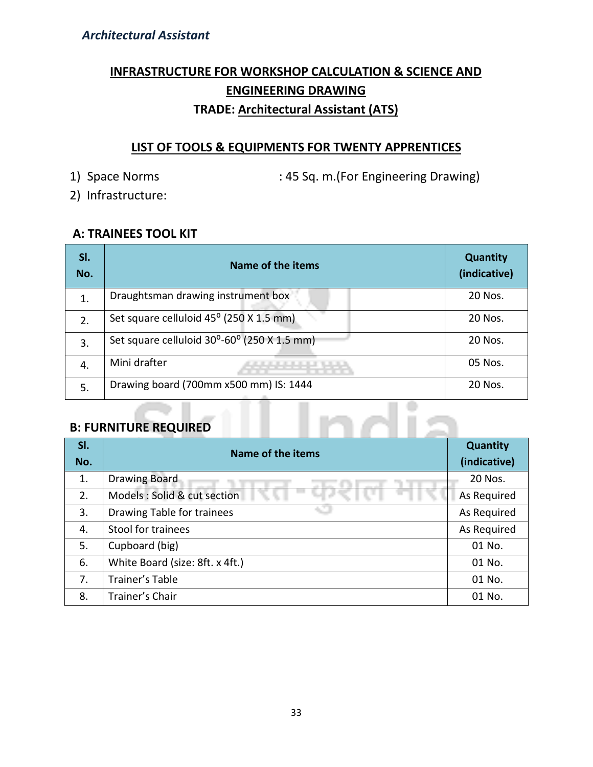# **INFRASTRUCTURE FOR WORKSHOP CALCULATION & SCIENCE AND ENGINEERING DRAWING TRADE: Architectural Assistant (ATS)**

# **LIST OF TOOLS & EQUIPMENTS FOR TWENTY APPRENTICES**

1) Space Norms : 45 Sq. m. (For Engineering Drawing)

2) Infrastructure:

# **A: TRAINEES TOOL KIT**

| SI.<br>No. | Name of the items                           | <b>Quantity</b><br>(indicative) |  |  |  |
|------------|---------------------------------------------|---------------------------------|--|--|--|
| 1.         | Draughtsman drawing instrument box          | 20 Nos.                         |  |  |  |
| 2.         | Set square celluloid 45° (250 X 1.5 mm)     | 20 Nos.                         |  |  |  |
| 3.         | Set square celluloid 30°-60° (250 X 1.5 mm) | 20 Nos.                         |  |  |  |
| 4.         | Mini drafter                                | 05 Nos.                         |  |  |  |
| 5.         | Drawing board (700mm x500 mm) IS: 1444      | 20 Nos.                         |  |  |  |

# **B: FURNITURE REQUIRED**

| SI.<br>No. | <b>Name of the items</b>        | Quantity<br>(indicative) |  |  |
|------------|---------------------------------|--------------------------|--|--|
| 1.         | <b>Drawing Board</b>            | 20 Nos.                  |  |  |
| 2.         | Models : Solid & cut section    | As Required              |  |  |
| 3.         | Drawing Table for trainees      | As Required              |  |  |
| 4.         | Stool for trainees              | As Required              |  |  |
| 5.         | Cupboard (big)                  | 01 No.                   |  |  |
| 6.         | White Board (size: 8ft. x 4ft.) | 01 No.                   |  |  |
| 7.         | Trainer's Table                 | 01 No.                   |  |  |
| 8.         | Trainer's Chair                 | 01 No.                   |  |  |